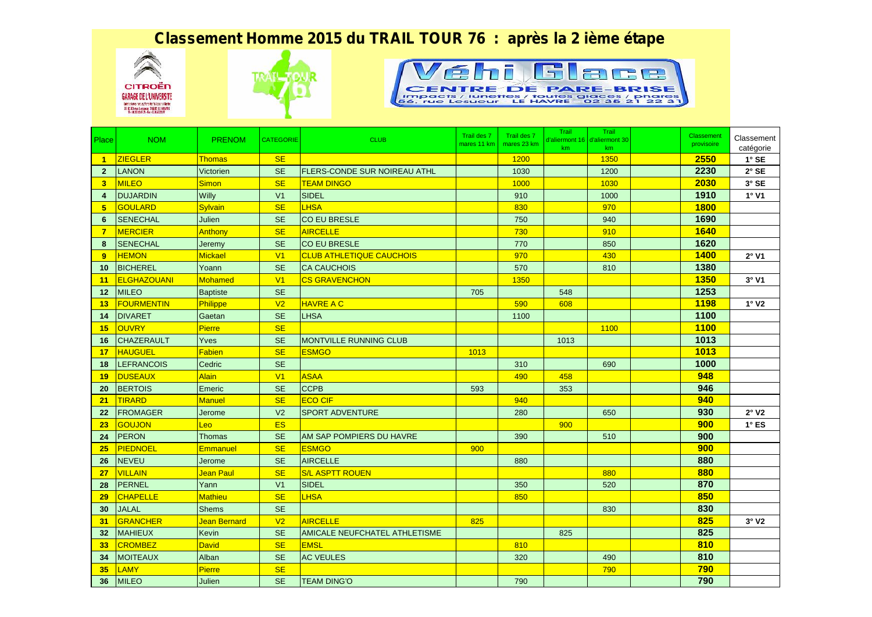## *Classement Homme 2015 du TRAIL TOUR 76 : après la 2 ième étape*







| Place                   | <b>NOM</b>         | <b>PRENOM</b>   | <b>CATEGORIE</b> | <b>CLUB</b>                          | Trail des 7<br>mares 11 km | Trail des 7<br>mares 23 km | Trail<br>km | Trail<br>d'aliermont 16 d'aliermont 30<br>km | Classement<br>provisoire | Classement<br>catégorie |
|-------------------------|--------------------|-----------------|------------------|--------------------------------------|----------------------------|----------------------------|-------------|----------------------------------------------|--------------------------|-------------------------|
| $\overline{1}$          | <b>ZIEGLER</b>     | <b>Thomas</b>   | <b>SE</b>        |                                      |                            | 1200                       |             | 1350                                         | 2550                     | $1^\circ$ SE            |
| $\overline{2}$          | <b>LANON</b>       | Victorien       | <b>SE</b>        | <b>FLERS-CONDE SUR NOIREAU ATHL</b>  |                            | 1030                       |             | 1200                                         | 2230                     | $2°$ SE                 |
| $\overline{\mathbf{3}}$ | <b>MILEO</b>       | Simon           | <b>SE</b>        | <b>TEAM DINGO</b>                    |                            | 1000                       |             | 1030                                         | 2030                     | 3° SE                   |
| 4                       | <b>DUJARDIN</b>    | Willy           | V <sub>1</sub>   | <b>SIDEL</b>                         |                            | 910                        |             | 1000                                         | 1910                     | 1°V1                    |
| 5 <sup>5</sup>          | <b>GOULARD</b>     | Sylvain         | <b>SE</b>        | <b>LHSA</b>                          |                            | 830                        |             | 970                                          | <b>1800</b>              |                         |
| 6                       | <b>SENECHAL</b>    | Julien          | <b>SE</b>        | <b>CO EU BRESLE</b>                  |                            | 750                        |             | 940                                          | 1690                     |                         |
| $\overline{7}$          | <b>MERCIER</b>     | Anthony         | <b>SE</b>        | <b>AIRCELLE</b>                      |                            | 730                        |             | 910                                          | <b>1640</b>              |                         |
| 8                       | <b>SENECHAL</b>    | Jeremy          | <b>SE</b>        | <b>CO EU BRESLE</b>                  |                            | 770                        |             | 850                                          | 1620                     |                         |
| 9                       | <b>HEMON</b>       | Mickael         | V1               | <b>CLUB ATHLETIQUE CAUCHOIS</b>      |                            | 970                        |             | 430                                          | <b>1400</b>              | $2°$ V1                 |
| 10                      | <b>BICHEREL</b>    | Yoann           | <b>SE</b>        | <b>CA CAUCHOIS</b>                   |                            | 570                        |             | 810                                          | 1380                     |                         |
| 11                      | <b>ELGHAZOUANI</b> | Mohamed         | V1               | <b>CS GRAVENCHON</b>                 |                            | 1350                       |             |                                              | <b>1350</b>              | $3°$ V1                 |
| 12                      | <b>MILEO</b>       | <b>Baptiste</b> | <b>SE</b>        |                                      | 705                        |                            | 548         |                                              | 1253                     |                         |
| 13                      | <b>FOURMENTIN</b>  | Philippe        | V <sub>2</sub>   | <b>HAVRE A C</b>                     |                            | 590                        | 608         |                                              | <b>1198</b>              | $1^\circ$ V2            |
| 14                      | <b>DIVARET</b>     | Gaetan          | <b>SE</b>        | <b>LHSA</b>                          |                            | 1100                       |             |                                              | 1100                     |                         |
| 15                      | <b>OUVRY</b>       | <b>Pierre</b>   | <b>SE</b>        |                                      |                            |                            |             | 1100                                         | <b>1100</b>              |                         |
| 16                      | <b>CHAZERAULT</b>  | Yves            | <b>SE</b>        | <b>MONTVILLE RUNNING CLUB</b>        |                            |                            | 1013        |                                              | 1013                     |                         |
| 17                      | <b>HAUGUEL</b>     | Fabien          | <b>SE</b>        | <b>ESMGO</b>                         | 1013                       |                            |             |                                              | 1013                     |                         |
| 18                      | <b>LEFRANCOIS</b>  | Cedric          | <b>SE</b>        |                                      |                            | 310                        |             | 690                                          | 1000                     |                         |
| 19                      | <b>DUSEAUX</b>     | <b>Alain</b>    | V1               | <b>ASAA</b>                          |                            | 490                        | 458         |                                              | 948                      |                         |
| 20                      | <b>BERTOIS</b>     | Emeric          | <b>SE</b>        | <b>CCPB</b>                          | 593                        |                            | 353         |                                              | 946                      |                         |
| 21                      | <b>TIRARD</b>      | <b>Manuel</b>   | <b>SE</b>        | <b>ECO CIF</b>                       |                            | 940                        |             |                                              | 940                      |                         |
| 22                      | <b>FROMAGER</b>    | Jerome          | V <sub>2</sub>   | <b>SPORT ADVENTURE</b>               |                            | 280                        |             | 650                                          | 930                      | 2°V2                    |
| 23                      | <b>GOUJON</b>      | Leo             | <b>ES</b>        |                                      |                            |                            | 900         |                                              | 900                      | $1^\circ$ ES            |
| 24                      | <b>PERON</b>       | <b>Thomas</b>   | <b>SE</b>        | AM SAP POMPIERS DU HAVRE             |                            | 390                        |             | 510                                          | 900                      |                         |
| 25                      | <b>PIEDNOEL</b>    | Emmanuel        | <b>SE</b>        | <b>ESMGO</b>                         | 900                        |                            |             |                                              | 900                      |                         |
| 26                      | <b>NEVEU</b>       | Jerome          | <b>SE</b>        | <b>AIRCELLE</b>                      |                            | 880                        |             |                                              | 880                      |                         |
| 27                      | <b>VILLAIN</b>     | Jean Paul       | <b>SE</b>        | <b>S/L ASPTT ROUEN</b>               |                            |                            |             | 880                                          | 880                      |                         |
| 28                      | PERNEL             | Yann            | V <sub>1</sub>   | SIDEL                                |                            | 350                        |             | 520                                          | 870                      |                         |
| 29                      | <b>CHAPELLE</b>    | <b>Mathieu</b>  | <b>SE</b>        | <b>LHSA</b>                          |                            | 850                        |             |                                              | 850                      |                         |
| 30                      | <b>JALAL</b>       | <b>Shems</b>    | <b>SE</b>        |                                      |                            |                            |             | 830                                          | 830                      |                         |
| 31                      | <b>GRANCHER</b>    | Jean Bernard    | V <sub>2</sub>   | <b>AIRCELLE</b>                      | 825                        |                            |             |                                              | 825                      | 3°V2                    |
| 32                      | <b>MAHIEUX</b>     | <b>Kevin</b>    | <b>SE</b>        | <b>AMICALE NEUFCHATEL ATHLETISME</b> |                            |                            | 825         |                                              | 825                      |                         |
| 33                      | <b>CROMBEZ</b>     | David           | <b>SE</b>        | <b>EMSL</b>                          |                            | 810                        |             |                                              | 810                      |                         |
| 34                      | <b>MOITEAUX</b>    | Alban           | <b>SE</b>        | <b>AC VEULES</b>                     |                            | 320                        |             | 490                                          | 810                      |                         |
| 35                      | <b>LAMY</b>        | Pierre          | <b>SE</b>        |                                      |                            |                            |             | 790                                          | 790                      |                         |
| 36                      | <b>MILEO</b>       | Julien          | <b>SE</b>        | <b>TEAM DING'O</b>                   |                            | 790                        |             |                                              | 790                      |                         |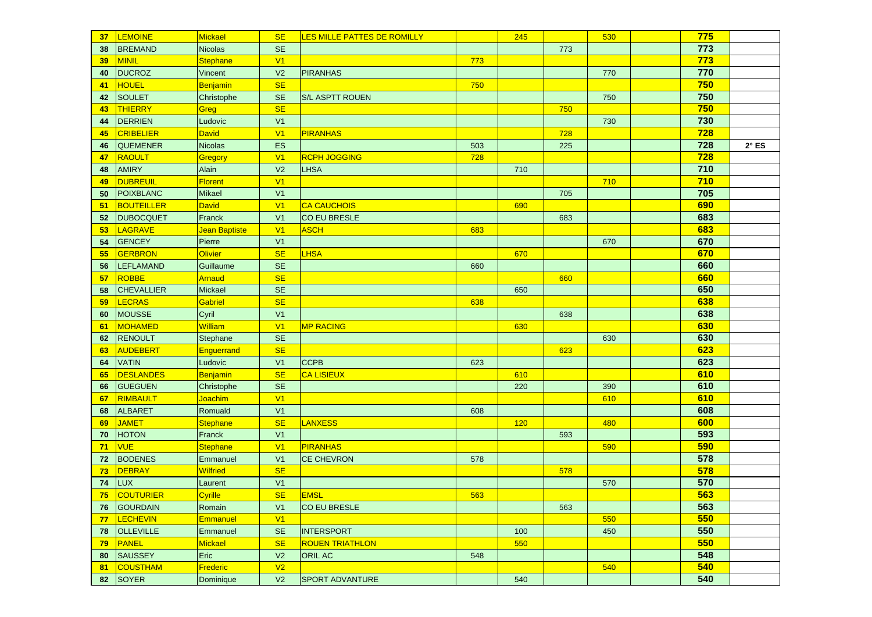| 37 | <b>LEMOINE</b>    | Mickael         | <b>SE</b>      | LES MILLE PATTES DE ROMILLY |     | 245 |     | 530 | 775        |              |
|----|-------------------|-----------------|----------------|-----------------------------|-----|-----|-----|-----|------------|--------------|
| 38 | <b>BREMAND</b>    | <b>Nicolas</b>  | <b>SE</b>      |                             |     |     | 773 |     | 773        |              |
| 39 | MINIL             | <b>Stephane</b> | V1             |                             | 773 |     |     |     | 773        |              |
| 40 | <b>DUCROZ</b>     | Vincent         | V <sub>2</sub> | <b>PIRANHAS</b>             |     |     |     | 770 | 770        |              |
| 41 | <b>HOUEL</b>      | Benjamin        | <b>SE</b>      |                             | 750 |     |     |     | 750        |              |
| 42 | <b>SOULET</b>     | Christophe      | <b>SE</b>      | <b>S/L ASPTT ROUEN</b>      |     |     |     | 750 | 750        |              |
| 43 | <b>THIERRY</b>    | Greg            | <b>SE</b>      |                             |     |     | 750 |     | 750        |              |
| 44 | <b>DERRIEN</b>    | Ludovic         | V <sub>1</sub> |                             |     |     |     | 730 | 730        |              |
| 45 | CRIBELIER         | <b>David</b>    | V1             | <b>PIRANHAS</b>             |     |     | 728 |     | 728        |              |
| 46 | <b>QUEMENER</b>   | <b>Nicolas</b>  | ES             |                             | 503 |     | 225 |     | 728        | $2^\circ$ ES |
| 47 | RAOULT            | Gregory         | V1             | <b>RCPH JOGGING</b>         | 728 |     |     |     | <b>728</b> |              |
| 48 | <b>AMIRY</b>      | Alain           | V <sub>2</sub> | <b>LHSA</b>                 |     | 710 |     |     | 710        |              |
| 49 | <b>DUBREUIL</b>   | Florent         | V1             |                             |     |     |     | 710 | 710        |              |
| 50 | <b>POIXBLANC</b>  | <b>Mikael</b>   | V <sub>1</sub> |                             |     |     | 705 |     | 705        |              |
| 51 | BOUTEILLER        | <b>David</b>    | V1             | <b>CA CAUCHOIS</b>          |     | 690 |     |     | 690        |              |
| 52 | <b>DUBOCQUET</b>  | Franck          | V <sub>1</sub> | CO EU BRESLE                |     |     | 683 |     | 683        |              |
| 53 | LAGRAVE           | Jean Baptiste   | V1             | <b>ASCH</b>                 | 683 |     |     |     | 683        |              |
| 54 | <b>GENCEY</b>     | Pierre          | V <sub>1</sub> |                             |     |     |     | 670 | 670        |              |
| 55 | <b>GERBRON</b>    | <b>Olivier</b>  | <b>SE</b>      | <b>LHSA</b>                 |     | 670 |     |     | 670        |              |
| 56 | <b>LEFLAMAND</b>  | Guillaume       | <b>SE</b>      |                             | 660 |     |     |     | 660        |              |
| 57 | <b>ROBBE</b>      | Arnaud          | <b>SE</b>      |                             |     |     | 660 |     | 660        |              |
| 58 | <b>CHEVALLIER</b> | Mickael         | <b>SE</b>      |                             |     | 650 |     |     | 650        |              |
| 59 | <b>LECRAS</b>     | Gabriel         | <b>SE</b>      |                             | 638 |     |     |     | 638        |              |
| 60 | <b>MOUSSE</b>     | Cyril           | V <sub>1</sub> |                             |     |     | 638 |     | 638        |              |
| 61 | MOHAMED           | <b>William</b>  | V1             | <b>MP RACING</b>            |     | 630 |     |     | 630        |              |
| 62 | <b>RENOULT</b>    | Stephane        | <b>SE</b>      |                             |     |     |     | 630 | 630        |              |
| 63 | <b>AUDEBERT</b>   | Enguerrand      | <b>SE</b>      |                             |     |     | 623 |     | 623        |              |
| 64 | <b>VATIN</b>      | Ludovic         | V <sub>1</sub> | <b>CCPB</b>                 | 623 |     |     |     | 623        |              |
| 65 | <b>DESLANDES</b>  | Benjamin        | <b>SE</b>      | <b>CA LISIEUX</b>           |     | 610 |     |     | 610        |              |
| 66 | <b>GUEGUEN</b>    | Christophe      | <b>SE</b>      |                             |     | 220 |     | 390 | 610        |              |
| 67 | RIMBAULT          | Joachim         | V1             |                             |     |     |     | 610 | 610        |              |
| 68 | <b>ALBARET</b>    | Romuald         | V <sub>1</sub> |                             | 608 |     |     |     | 608        |              |
| 69 | <b>JAMET</b>      | <b>Stephane</b> | <b>SE</b>      | <b>LANXESS</b>              |     | 120 |     | 480 | 600        |              |
| 70 | <b>HOTON</b>      | Franck          | V <sub>1</sub> |                             |     |     | 593 |     | 593        |              |
| 71 | <b>VUE</b>        | <b>Stephane</b> | V1             | <b>PIRANHAS</b>             |     |     |     | 590 | 590        |              |
| 72 | <b>BODENES</b>    | Emmanuel        | V <sub>1</sub> | <b>CE CHEVRON</b>           | 578 |     |     |     | 578        |              |
| 73 | <b>DEBRAY</b>     | <b>Wilfried</b> | <b>SE</b>      |                             |     |     | 578 |     | 578        |              |
| 74 | LUX               | Laurent         | V <sub>1</sub> |                             |     |     |     | 570 | 570        |              |
|    | 75 COUTURIER      | Cyrille         | SE             | <b>EMSL</b>                 | 563 |     |     |     | 563        |              |
|    | 76 GOURDAIN       | Romain          | V <sub>1</sub> | CO EU BRESLE                |     |     | 563 |     | 563        |              |
| 77 | <b>LECHEVIN</b>   | Emmanuel        | V1             |                             |     |     |     | 550 | 550        |              |
| 78 | <b>OLLEVILLE</b>  | Emmanuel        | <b>SE</b>      | <b>INTERSPORT</b>           |     | 100 |     | 450 | 550        |              |
| 79 | PANEL             | <b>Mickael</b>  | <b>SE</b>      | <b>ROUEN TRIATHLON</b>      |     | 550 |     |     | 550        |              |
| 80 | SAUSSEY           | Eric            | V <sub>2</sub> | <b>ORIL AC</b>              | 548 |     |     |     | 548        |              |
| 81 | <b>COUSTHAM</b>   | Frederic        | V <sub>2</sub> |                             |     |     |     | 540 | 540        |              |
|    | 82 SOYER          | Dominique       | V <sub>2</sub> | <b>SPORT ADVANTURE</b>      |     | 540 |     |     | 540        |              |
|    |                   |                 |                |                             |     |     |     |     |            |              |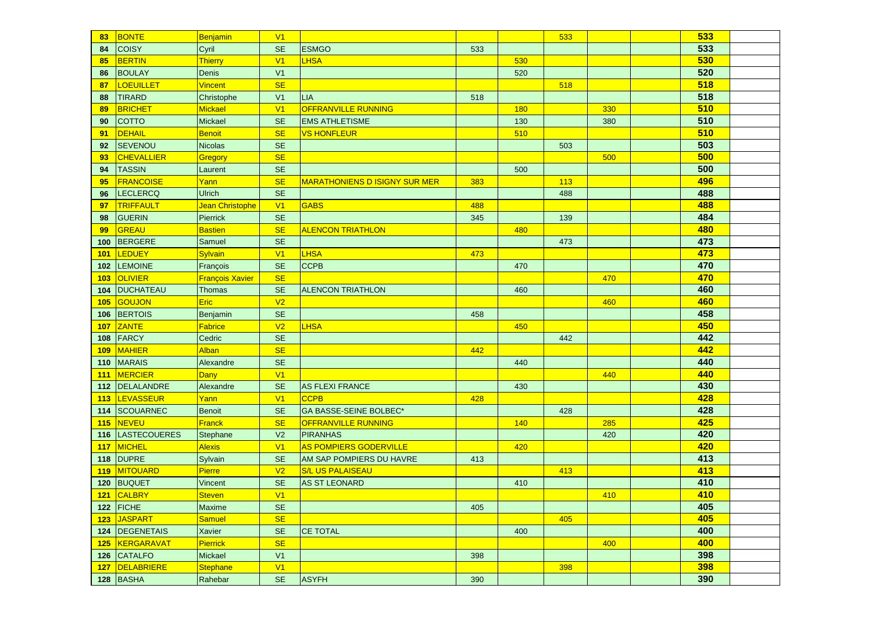| 83         | <b>BONTE</b>        | Benjamin               | V <sub>1</sub>       |                                      |     |     | 533 |     | 533 |  |
|------------|---------------------|------------------------|----------------------|--------------------------------------|-----|-----|-----|-----|-----|--|
| 84         | <b>COISY</b>        | Cyril                  | <b>SE</b>            | <b>ESMGO</b>                         | 533 |     |     |     | 533 |  |
| 85         | <b>BERTIN</b>       | Thierry                | V <sub>1</sub>       | <b>LHSA</b>                          |     | 530 |     |     | 530 |  |
| 86         | <b>BOULAY</b>       | Denis                  | V <sub>1</sub>       |                                      |     | 520 |     |     | 520 |  |
| 87         | <b>LOEUILLET</b>    | <b>Vincent</b>         | <b>SE</b>            |                                      |     |     | 518 |     | 518 |  |
| 88         | <b>TIRARD</b>       | Christophe             | V <sub>1</sub>       | <b>LIA</b>                           | 518 |     |     |     | 518 |  |
| 89         | <b>BRICHET</b>      | Mickael                | V <sub>1</sub>       | <b>OFFRANVILLE RUNNING</b>           |     | 180 |     | 330 | 510 |  |
| 90         | <b>COTTO</b>        | Mickael                | <b>SE</b>            | <b>EMS ATHLETISME</b>                |     | 130 |     | 380 | 510 |  |
| 91         | <b>DEHAIL</b>       | Benoit                 | <b>SE</b>            | <b>VS HONFLEUR</b>                   |     | 510 |     |     | 510 |  |
| 92         | <b>SEVENOU</b>      | Nicolas                | <b>SE</b>            |                                      |     |     | 503 |     | 503 |  |
| 93         | <b>CHEVALLIER</b>   | Gregory                | <b>SE</b>            |                                      |     |     |     | 500 | 500 |  |
| 94         | <b>TASSIN</b>       | Laurent                | <b>SE</b>            |                                      |     | 500 |     |     | 500 |  |
| 95         | <b>FRANCOISE</b>    | Yann                   | <b>SE</b>            | <b>MARATHONIENS D ISIGNY SUR MER</b> | 383 |     | 113 |     | 496 |  |
| 96         | <b>LECLERCQ</b>     | <b>Ulrich</b>          | <b>SE</b>            |                                      |     |     | 488 |     | 488 |  |
| 97         | <b>TRIFFAULT</b>    | Jean Christophe        | V <sub>1</sub>       | <b>GABS</b>                          | 488 |     |     |     | 488 |  |
| 98         | <b>GUERIN</b>       | Pierrick               | $\mathsf{SE}\xspace$ |                                      | 345 |     | 139 |     | 484 |  |
| 99         | <b>GREAU</b>        | <b>Bastien</b>         | <b>SE</b>            | <b>ALENCON TRIATHLON</b>             |     | 480 |     |     | 480 |  |
| 100        | <b>BERGERE</b>      | Samuel                 | <b>SE</b>            |                                      |     |     | 473 |     | 473 |  |
| 101        | <b>LEDUEY</b>       | <b>Sylvain</b>         | V <sub>1</sub>       | <b>LHSA</b>                          | 473 |     |     |     | 473 |  |
| 102        | <b>LEMOINE</b>      | François               | <b>SE</b>            | <b>CCPB</b>                          |     | 470 |     |     | 470 |  |
| 103        | <b>OLIVIER</b>      | <b>François Xavier</b> | <b>SE</b>            |                                      |     |     |     | 470 | 470 |  |
| 104        | <b>DUCHATEAU</b>    | <b>Thomas</b>          | <b>SE</b>            | <b>ALENCON TRIATHLON</b>             |     | 460 |     |     | 460 |  |
| 105        | GOUJON              | Eric                   | V <sub>2</sub>       |                                      |     |     |     | 460 | 460 |  |
| 106        | <b>BERTOIS</b>      | Benjamin               | <b>SE</b>            |                                      | 458 |     |     |     | 458 |  |
| <b>107</b> | <b>ZANTE</b>        | Fabrice                | V <sub>2</sub>       | <b>LHSA</b>                          |     | 450 |     |     | 450 |  |
| 108        | FARCY               | Cedric                 | <b>SE</b>            |                                      |     |     | 442 |     | 442 |  |
| 109        | <b>MAHIER</b>       | Alban                  | <b>SE</b>            |                                      | 442 |     |     |     | 442 |  |
| 110        | <b>MARAIS</b>       | Alexandre              | <b>SE</b>            |                                      |     | 440 |     |     | 440 |  |
| <b>111</b> | <b>MERCIER</b>      | Dany                   | V <sub>1</sub>       |                                      |     |     |     | 440 | 440 |  |
| 112        | DELALANDRE          | Alexandre              | <b>SE</b>            | <b>AS FLEXI FRANCE</b>               |     | 430 |     |     | 430 |  |
| 113        | <b>LEVASSEUR</b>    | Yann                   | V <sub>1</sub>       | <b>CCPB</b>                          | 428 |     |     |     | 428 |  |
| 114        | <b>SCOUARNEC</b>    | <b>Benoit</b>          | <b>SE</b>            | <b>GA BASSE-SEINE BOLBEC*</b>        |     |     | 428 |     | 428 |  |
| <b>115</b> | <b>NEVEU</b>        | <b>Franck</b>          | <b>SE</b>            | <b>OFFRANVILLE RUNNING</b>           |     | 140 |     | 285 | 425 |  |
| 116        | <b>LASTECOUERES</b> | <b>Stephane</b>        | V <sub>2</sub>       | <b>PIRANHAS</b>                      |     |     |     | 420 | 420 |  |
| <b>117</b> | <b>MICHEL</b>       | <b>Alexis</b>          | V <sub>1</sub>       | <b>AS POMPIERS GODERVILLE</b>        |     | 420 |     |     | 420 |  |
| 118        | <b>DUPRE</b>        | Sylvain                | <b>SE</b>            | AM SAP POMPIERS DU HAVRE             | 413 |     |     |     | 413 |  |
| <b>119</b> | MITOUARD            | <b>Pierre</b>          | V <sub>2</sub>       | <b>S/L US PALAISEAU</b>              |     |     | 413 |     | 413 |  |
| 120        | BUQUET              | Vincent                | <b>SE</b>            | <b>AS ST LEONARD</b>                 |     | 410 |     |     | 410 |  |
|            | 121 CALBRY          | Steven                 | V1                   |                                      |     |     |     | 410 | 410 |  |
|            | 122 $ F CHE$        | <b>Maxime</b>          | SE.                  |                                      | 405 |     |     |     | 405 |  |
|            | 123 JASPART         | <b>Samuel</b>          | <b>SE</b>            |                                      |     |     | 405 |     | 405 |  |
|            | 124 DEGENETAIS      | Xavier                 | <b>SE</b>            | <b>CE TOTAL</b>                      |     | 400 |     |     | 400 |  |
|            | 125 KERGARAVAT      | <b>Pierrick</b>        | <b>SE</b>            |                                      |     |     |     | 400 | 400 |  |
|            | 126 CATALFO         | Mickael                | V1                   |                                      | 398 |     |     |     | 398 |  |
| 127        | DELABRIERE          | <b>Stephane</b>        | V1                   |                                      |     |     | 398 |     | 398 |  |
|            | 128 BASHA           | Rahebar                | <b>SE</b>            | <b>ASYFH</b>                         | 390 |     |     |     | 390 |  |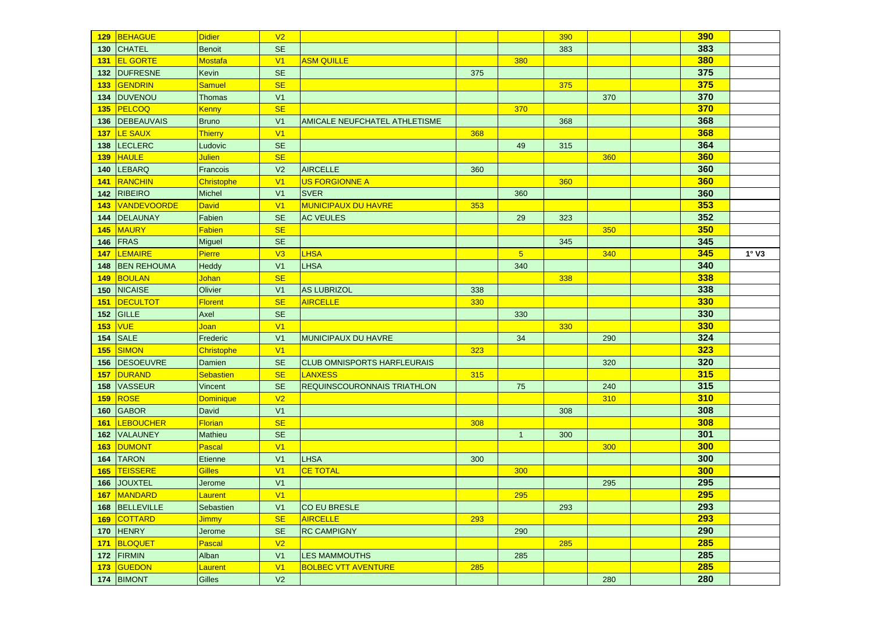| 129        | BEHAGUE            | <b>Didier</b>    | V <sub>2</sub> |                                      |     |                | 390 |     | <b>390</b> |              |
|------------|--------------------|------------------|----------------|--------------------------------------|-----|----------------|-----|-----|------------|--------------|
| 130        | <b>CHATEL</b>      | <b>Benoit</b>    | <b>SE</b>      |                                      |     |                | 383 |     | 383        |              |
| 131        | <b>EL GORTE</b>    | <b>Mostafa</b>   | V <sub>1</sub> | <b>ASM QUILLE</b>                    |     | 380            |     |     | 380        |              |
| 132        | <b>DUFRESNE</b>    | Kevin            | <b>SE</b>      |                                      | 375 |                |     |     | 375        |              |
| 133        | GENDRIN            | Samuel           | <b>SE</b>      |                                      |     |                | 375 |     | 375        |              |
| 134        | <b>DUVENOU</b>     | <b>Thomas</b>    | V <sub>1</sub> |                                      |     |                |     | 370 | 370        |              |
| 135        | PELCOQ             | <b>Kenny</b>     | <b>SE</b>      |                                      |     | 370            |     |     | 370        |              |
| 136        | DEBEAUVAIS         | <b>Bruno</b>     | V <sub>1</sub> | <b>AMICALE NEUFCHATEL ATHLETISME</b> |     |                | 368 |     | 368        |              |
| 137        | <b>LE SAUX</b>     | Thierry          | V <sub>1</sub> |                                      | 368 |                |     |     | 368        |              |
| 138        | <b>LECLERC</b>     | Ludovic          | <b>SE</b>      |                                      |     | 49             | 315 |     | 364        |              |
| 139        | <b>HAULE</b>       | <b>Julien</b>    | <b>SE</b>      |                                      |     |                |     | 360 | 360        |              |
| 140        | <b>LEBARQ</b>      | Francois         | V <sub>2</sub> | <b>AIRCELLE</b>                      | 360 |                |     |     | 360        |              |
| 141        | <b>RANCHIN</b>     | Christophe       | V <sub>1</sub> | US FORGIONNE A                       |     |                | 360 |     | 360        |              |
| 142        | <b>RIBEIRO</b>     | <b>Michel</b>    | V <sub>1</sub> | <b>SVER</b>                          |     | 360            |     |     | 360        |              |
| 143        | <b>VANDEVOORDE</b> | David            | V <sub>1</sub> | <b>MUNICIPAUX DU HAVRE</b>           | 353 |                |     |     | 353        |              |
| 144        | <b>DELAUNAY</b>    | Fabien           | <b>SE</b>      | <b>AC VEULES</b>                     |     | 29             | 323 |     | 352        |              |
| 145        | <b>MAURY</b>       | <b>Fabien</b>    | <b>SE</b>      |                                      |     |                |     | 350 | 350        |              |
| 146        | <b>FRAS</b>        | Miguel           | <b>SE</b>      |                                      |     |                | 345 |     | 345        |              |
| <b>147</b> | <b>LEMAIRE</b>     | Pierre           | V3             | <b>LHSA</b>                          |     | 5 <sub>5</sub> |     | 340 | 345        | $1^\circ$ V3 |
| 148        | <b>BEN REHOUMA</b> | Heddy            | V <sub>1</sub> | LHSA                                 |     | 340            |     |     | 340        |              |
| 149        | <b>BOULAN</b>      | <b>Johan</b>     | <b>SE</b>      |                                      |     |                | 338 |     | 338        |              |
| 150        | <b>NICAISE</b>     | Olivier          | V <sub>1</sub> | <b>AS LUBRIZOL</b>                   | 338 |                |     |     | 338        |              |
| <b>151</b> | <b>DECULTOT</b>    | <b>Florent</b>   | <b>SE</b>      | <b>AIRCELLE</b>                      | 330 |                |     |     | 330        |              |
| 152        | GILLE              | Axel             | <b>SE</b>      |                                      |     | 330            |     |     | 330        |              |
| <b>153</b> | <b>VUE</b>         | Joan             | V <sub>1</sub> |                                      |     |                | 330 |     | 330        |              |
| 154        | <b>SALE</b>        | Frederic         | V <sub>1</sub> | <b>MUNICIPAUX DU HAVRE</b>           |     | 34             |     | 290 | 324        |              |
| 155        | <b>SIMON</b>       | Christophe       | V <sub>1</sub> |                                      | 323 |                |     |     | 323        |              |
| 156        | <b>DESOEUVRE</b>   | Damien           | <b>SE</b>      | <b>CLUB OMNISPORTS HARFLEURAIS</b>   |     |                |     | 320 | 320        |              |
| 157        | <b>DURAND</b>      | Sebastien        | <b>SE</b>      | <b>LANXESS</b>                       | 315 |                |     |     | 315        |              |
| 158        | <b>VASSEUR</b>     | Vincent          | <b>SE</b>      | <b>REQUINSCOURONNAIS TRIATHLON</b>   |     | 75             |     | 240 | 315        |              |
| 159        | ROSE               | <b>Dominique</b> | V <sub>2</sub> |                                      |     |                |     | 310 | 310        |              |
| 160        | <b>GABOR</b>       | <b>David</b>     | V <sub>1</sub> |                                      |     |                | 308 |     | 308        |              |
| 161        | <b>LEBOUCHER</b>   | <b>Florian</b>   | <b>SE</b>      |                                      | 308 |                |     |     | 308        |              |
| 162        | <b>VALAUNEY</b>    | Mathieu          | <b>SE</b>      |                                      |     | $\overline{1}$ | 300 |     | 301        |              |
| 163        | <b>DUMONT</b>      | Pascal           | V <sub>1</sub> |                                      |     |                |     | 300 | 300        |              |
| 164        | <b>TARON</b>       | Etienne          | V <sub>1</sub> | <b>LHSA</b>                          | 300 |                |     |     | 300        |              |
| 165        | TEISSERE           | <b>Gilles</b>    | V <sub>1</sub> | <b>CE TOTAL</b>                      |     | 300            |     |     | 300        |              |
| 166        | <b>JOUXTEL</b>     | Jerome           | V <sub>1</sub> |                                      |     |                |     | 295 | 295        |              |
|            | 167 MANDARD        | Laurent          | V1             |                                      |     | 295            |     |     | 295        |              |
|            | 168 BELLEVILLE     | Sebastien        | V <sub>1</sub> | CO EU BRESLE                         |     |                | 293 |     | 293        |              |
|            | 169 COTTARD        | <b>Jimmy</b>     | <b>SE</b>      | <b>AIRCELLE</b>                      | 293 |                |     |     | 293        |              |
|            | <b>170 HENRY</b>   | Jerome           | <b>SE</b>      | <b>RC CAMPIGNY</b>                   |     | 290            |     |     | 290        |              |
|            | 171 BLOQUET        | Pascal           | V <sub>2</sub> |                                      |     |                | 285 |     | 285        |              |
|            |                    |                  |                |                                      |     |                |     |     | 285        |              |
|            | 172 FIRMIN         | Alban            | V <sub>1</sub> | <b>LES MAMMOUTHS</b>                 |     | 285            |     |     |            |              |
|            | 173 GUEDON         | Laurent          | V1             | <b>BOLBEC VTT AVENTURE</b>           | 285 |                |     |     | 285        |              |
|            | 174 BIMONT         | Gilles           | V <sub>2</sub> |                                      |     |                |     | 280 | 280        |              |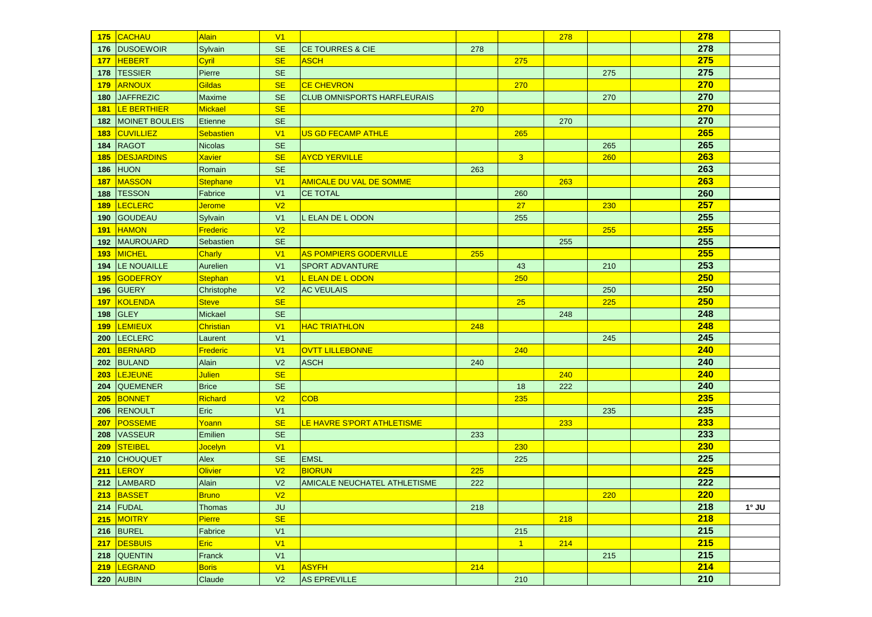| 175        | CACHAU                | Alain          | V <sub>1</sub> |                                    |     |                | 278 |     | 278 |              |
|------------|-----------------------|----------------|----------------|------------------------------------|-----|----------------|-----|-----|-----|--------------|
| 176        | <b>DUSOEWOIR</b>      | Sylvain        | <b>SE</b>      | <b>CE TOURRES &amp; CIE</b>        | 278 |                |     |     | 278 |              |
| <b>177</b> | <b>HEBERT</b>         | Cyril          | <b>SE</b>      | <b>ASCH</b>                        |     | 275            |     |     | 275 |              |
| 178        | <b>TESSIER</b>        | Pierre         | <b>SE</b>      |                                    |     |                |     | 275 | 275 |              |
| 179        | <b>ARNOUX</b>         | Gildas         | <b>SE</b>      | <b>CE CHEVRON</b>                  |     | 270            |     |     | 270 |              |
| 180        | <b>JAFFREZIC</b>      | <b>Maxime</b>  | <b>SE</b>      | <b>CLUB OMNISPORTS HARFLEURAIS</b> |     |                |     | 270 | 270 |              |
| <b>181</b> | <b>LE BERTHIER</b>    | Mickael        | <b>SE</b>      |                                    | 270 |                |     |     | 270 |              |
| 182        | <b>MOINET BOULEIS</b> | Etienne        | <b>SE</b>      |                                    |     |                | 270 |     | 270 |              |
| 183        | <b>CUVILLIEZ</b>      | Sebastien      | V <sub>1</sub> | <b>US GD FECAMP ATHLE</b>          |     | 265            |     |     | 265 |              |
| 184        | <b>RAGOT</b>          | <b>Nicolas</b> | <b>SE</b>      |                                    |     |                |     | 265 | 265 |              |
| <b>185</b> | <b>DESJARDINS</b>     | <b>Xavier</b>  | <b>SE</b>      | <b>AYCD YERVILLE</b>               |     | 3 <sup>2</sup> |     | 260 | 263 |              |
| 186        | <b>HUON</b>           | Romain         | <b>SE</b>      |                                    | 263 |                |     |     | 263 |              |
| <b>187</b> | <b>MASSON</b>         | Stephane       | V <sub>1</sub> | <b>AMICALE DU VAL DE SOMME</b>     |     |                | 263 |     | 263 |              |
| 188        | <b>TESSON</b>         | Fabrice        | V <sub>1</sub> | <b>CE TOTAL</b>                    |     | 260            |     |     | 260 |              |
| 189        | <b>LECLERC</b>        | <b>Jerome</b>  | V <sub>2</sub> |                                    |     | 27             |     | 230 | 257 |              |
| 190        | <b>GOUDEAU</b>        | Sylvain        | V <sub>1</sub> | L ELAN DE L ODON                   |     | 255            |     |     | 255 |              |
| 191        | <b>HAMON</b>          | Frederic       | V <sub>2</sub> |                                    |     |                |     | 255 | 255 |              |
| 192        | <b>MAUROUARD</b>      | Sebastien      | <b>SE</b>      |                                    |     |                | 255 |     | 255 |              |
| 193        | <b>MICHEL</b>         | <b>Charly</b>  | V <sub>1</sub> | <b>AS POMPIERS GODERVILLE</b>      | 255 |                |     |     | 255 |              |
| 194        | LE NOUAILLE           | Aurelien       | V <sub>1</sub> | <b>SPORT ADVANTURE</b>             |     | 43             |     | 210 | 253 |              |
| 195        | <b>GODEFROY</b>       | <b>Stephan</b> | V <sub>1</sub> | L ELAN DE L ODON                   |     | 250            |     |     | 250 |              |
| 196        | <b>GUERY</b>          | Christophe     | V <sub>2</sub> | <b>AC VEULAIS</b>                  |     |                |     | 250 | 250 |              |
| <b>197</b> | <b>KOLENDA</b>        | <b>Steve</b>   | <b>SE</b>      |                                    |     | 25             |     | 225 | 250 |              |
| 198        | <b>GLEY</b>           | Mickael        | <b>SE</b>      |                                    |     |                | 248 |     | 248 |              |
| <b>199</b> | <b>LEMIEUX</b>        | Christian      | V <sub>1</sub> | <b>HAC TRIATHLON</b>               | 248 |                |     |     | 248 |              |
| 200        | <b>LECLERC</b>        | Laurent        | V <sub>1</sub> |                                    |     |                |     | 245 | 245 |              |
| 201        | <b>BERNARD</b>        | Frederic       | V <sub>1</sub> | <b>OVTT LILLEBONNE</b>             |     | 240            |     |     | 240 |              |
| 202        | <b>BULAND</b>         | Alain          | V <sub>2</sub> | <b>ASCH</b>                        | 240 |                |     |     | 240 |              |
| 203        | <b>LEJEUNE</b>        | <b>Julien</b>  | <b>SE</b>      |                                    |     |                | 240 |     | 240 |              |
| 204        | <b>QUEMENER</b>       | <b>Brice</b>   | <b>SE</b>      |                                    |     | 18             | 222 |     | 240 |              |
| 205        | <b>BONNET</b>         | Richard        | V <sub>2</sub> | <b>COB</b>                         |     | 235            |     |     | 235 |              |
| 206        | <b>RENOULT</b>        | Eric           | V <sub>1</sub> |                                    |     |                |     | 235 | 235 |              |
| 207        | <b>POSSEME</b>        | Yoann          | <b>SE</b>      | LE HAVRE S'PORT ATHLETISME         |     |                | 233 |     | 233 |              |
| 208        | <b>VASSEUR</b>        | Emilien        | <b>SE</b>      |                                    | 233 |                |     |     | 233 |              |
| 209        | <b>STEIBEL</b>        | <b>Jocelyn</b> | V1             |                                    |     | 230            |     |     | 230 |              |
| 210        | <b>CHOUQUET</b>       | Alex           | <b>SE</b>      | <b>EMSL</b>                        |     | 225            |     |     | 225 |              |
| 211        | <b>LEROY</b>          | Olivier        | V <sub>2</sub> | <b>BIORUN</b>                      | 225 |                |     |     | 225 |              |
| 212        | LAMBARD               | Alain          | V <sub>2</sub> | AMICALE NEUCHATEL ATHLETISME       | 222 |                |     |     | 222 |              |
|            | 213 BASSET            | <b>Bruno</b>   | V <sub>2</sub> |                                    |     |                |     | 220 | 220 |              |
|            | $214$ FUDAL           | <b>Thomas</b>  | <b>JU</b>      |                                    | 218 |                |     |     | 218 | $1^\circ$ JU |
|            | 215 MOITRY            | Pierre         | <b>SE</b>      |                                    |     |                | 218 |     | 218 |              |
|            | $216$ BUREL           | Fabrice        | V1             |                                    |     | 215            |     |     | 215 |              |
|            | 217 DESBUIS           | Eric           | V1             |                                    |     | $1 -$          | 214 |     | 215 |              |
|            | 218 QUENTIN           | Franck         | V <sub>1</sub> |                                    |     |                |     | 215 | 215 |              |
|            | 219  LEGRAND          | Boris          | V1             | <b>ASYFH</b>                       | 214 |                |     |     | 214 |              |
|            | 220 AUBIN             | Claude         | V <sub>2</sub> | <b>AS EPREVILLE</b>                |     | 210            |     |     | 210 |              |
|            |                       |                |                |                                    |     |                |     |     |     |              |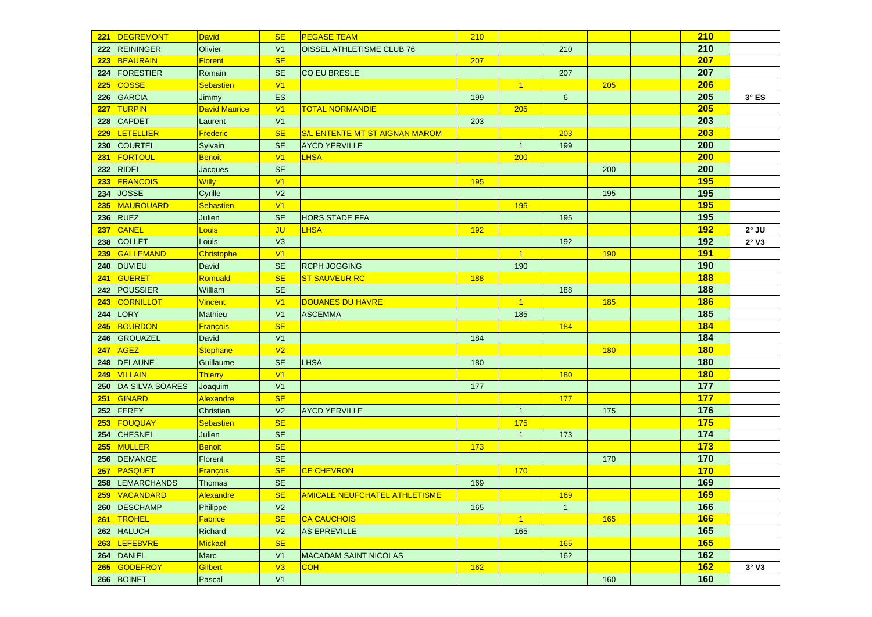| 221 | <b>DEGREMONT</b>       | <b>David</b>         | <b>SE</b>      | <b>PEGASE TEAM</b>                    | 210 |                |                |     | 210        |              |
|-----|------------------------|----------------------|----------------|---------------------------------------|-----|----------------|----------------|-----|------------|--------------|
| 222 | <b>REININGER</b>       | Olivier              | V <sub>1</sub> | OISSEL ATHLETISME CLUB 76             |     |                | 210            |     | 210        |              |
| 223 | <b>BEAURAIN</b>        | <b>Florent</b>       | <b>SE</b>      |                                       | 207 |                |                |     | 207        |              |
| 224 | <b>FORESTIER</b>       | Romain               | <b>SE</b>      | <b>CO EU BRESLE</b>                   |     |                | 207            |     | 207        |              |
| 225 | <b>COSSE</b>           | <b>Sebastien</b>     | V <sub>1</sub> |                                       |     | $\overline{1}$ |                | 205 | 206        |              |
| 226 | <b>GARCIA</b>          | Jimmy                | <b>ES</b>      |                                       | 199 |                | $6\phantom{1}$ |     | 205        | $3^\circ$ ES |
| 227 | <b>TURPIN</b>          | <b>David Maurice</b> | V <sub>1</sub> | <b>TOTAL NORMANDIE</b>                |     | 205            |                |     | 205        |              |
| 228 | <b>CAPDET</b>          | Laurent              | V <sub>1</sub> |                                       | 203 |                |                |     | 203        |              |
| 229 | <b>LETELLIER</b>       | Frederic             | <b>SE</b>      | <b>S/L ENTENTE MT ST AIGNAN MAROM</b> |     |                | 203            |     | 203        |              |
| 230 | <b>COURTEL</b>         | Sylvain              | <b>SE</b>      | <b>AYCD YERVILLE</b>                  |     | $\overline{1}$ | 199            |     | 200        |              |
| 231 | <b>FORTOUL</b>         | Benoit               | V <sub>1</sub> | LHSA                                  |     | 200            |                |     | 200        |              |
| 232 | <b>RIDEL</b>           | Jacques              | <b>SE</b>      |                                       |     |                |                | 200 | 200        |              |
| 233 | <b>FRANCOIS</b>        | <b>Willy</b>         | V <sub>1</sub> |                                       | 195 |                |                |     | <b>195</b> |              |
| 234 | <b>JOSSE</b>           | Cyrille              | V <sub>2</sub> |                                       |     |                |                | 195 | 195        |              |
| 235 | <b>MAUROUARD</b>       | Sebastien            | V <sub>1</sub> |                                       |     | 195            |                |     | <b>195</b> |              |
| 236 | <b>RUEZ</b>            | Julien               | <b>SE</b>      | <b>HORS STADE FFA</b>                 |     |                | 195            |     | 195        |              |
| 237 | <b>CANEL</b>           | Louis                | <b>JU</b>      | <b>LHSA</b>                           | 192 |                |                |     | <b>192</b> | $2^\circ$ JU |
| 238 | <b>COLLET</b>          | Louis                | V3             |                                       |     |                | 192            |     | 192        | 2°V3         |
| 239 | <b>GALLEMAND</b>       | Christophe           | V <sub>1</sub> |                                       |     | $\overline{1}$ |                | 190 | <b>191</b> |              |
| 240 | <b>DUVIEU</b>          | David                | <b>SE</b>      | <b>RCPH JOGGING</b>                   |     | 190            |                |     | 190        |              |
| 241 | <b>GUERET</b>          | Romuald              | <b>SE</b>      | <b>ST SAUVEUR RC</b>                  | 188 |                |                |     | <b>188</b> |              |
| 242 | POUSSIER               | William              | <b>SE</b>      |                                       |     |                | 188            |     | 188        |              |
| 243 | CORNILLOT              | <b>Vincent</b>       | V <sub>1</sub> | DOUANES DU HAVRE                      |     | $\overline{1}$ |                | 185 | <b>186</b> |              |
| 244 | <b>LORY</b>            | Mathieu              | V <sub>1</sub> | <b>ASCEMMA</b>                        |     | 185            |                |     | 185        |              |
| 245 | <b>BOURDON</b>         | François             | <b>SE</b>      |                                       |     |                | 184            |     | 184        |              |
| 246 | <b>GROUAZEL</b>        | David                | V <sub>1</sub> |                                       | 184 |                |                |     | 184        |              |
| 247 | <b>AGEZ</b>            | Stephane             | V <sub>2</sub> |                                       |     |                |                | 180 | <b>180</b> |              |
| 248 | <b>DELAUNE</b>         | Guillaume            | <b>SE</b>      | <b>LHSA</b>                           | 180 |                |                |     | 180        |              |
| 249 | <b>VILLAIN</b>         | <b>Thierry</b>       | V <sub>1</sub> |                                       |     |                | 180            |     | <b>180</b> |              |
| 250 | <b>DA SILVA SOARES</b> | Joaquim              | V <sub>1</sub> |                                       | 177 |                |                |     | 177        |              |
| 251 | GINARD                 | Alexandre            | <b>SE</b>      |                                       |     |                | 177            |     | <b>177</b> |              |
| 252 | FEREY                  | Christian            | V <sub>2</sub> | <b>AYCD YERVILLE</b>                  |     | $\mathbf{1}$   |                | 175 | 176        |              |
| 253 | <b>FOUQUAY</b>         | <b>Sebastien</b>     | <b>SE</b>      |                                       |     | 175            |                |     | 175        |              |
| 254 | <b>CHESNEL</b>         | Julien               | <b>SE</b>      |                                       |     | $\mathbf{1}$   | 173            |     | 174        |              |
| 255 | <b>MULLER</b>          | Benoit               | <b>SE</b>      |                                       | 173 |                |                |     | 173        |              |
| 256 | <b>DEMANGE</b>         | Florent              | <b>SE</b>      |                                       |     |                |                | 170 | 170        |              |
| 257 | PASQUET                | François             | <b>SE</b>      | <b>CE CHEVRON</b>                     |     | 170            |                |     | 170        |              |
| 258 | <b>LEMARCHANDS</b>     | <b>Thomas</b>        | <b>SE</b>      |                                       | 169 |                |                |     | 169        |              |
|     | 259 VACANDARD          | Alexandre            | SE             | AMICALE NEUFCHATEL ATHLETISME         |     |                | 169            |     | 169        |              |
|     | 260 DESCHAMP           | Philippe             | V <sub>2</sub> |                                       | 165 |                | $\overline{1}$ |     | 166        |              |
|     | 261 TROHEL             | Fabrice              | <b>SE</b>      | <b>CA CAUCHOIS</b>                    |     | $\overline{1}$ |                | 165 | <b>166</b> |              |
|     | 262 HALUCH             | Richard              | V <sub>2</sub> | <b>AS EPREVILLE</b>                   |     | 165            |                |     | 165        |              |
| 263 | LEFEBVRE               | Mickael              | <b>SE</b>      |                                       |     |                | 165            |     | <b>165</b> |              |
|     | 264 DANIEL             | Marc                 | V <sub>1</sub> | <b>MACADAM SAINT NICOLAS</b>          |     |                | 162            |     | 162        |              |
| 265 | GODEFROY               | Gilbert              | V3             | <b>COH</b>                            | 162 |                |                |     | 162        | 3°V3         |
|     | 266 BOINET             | Pascal               | V <sub>1</sub> |                                       |     |                |                | 160 | 160        |              |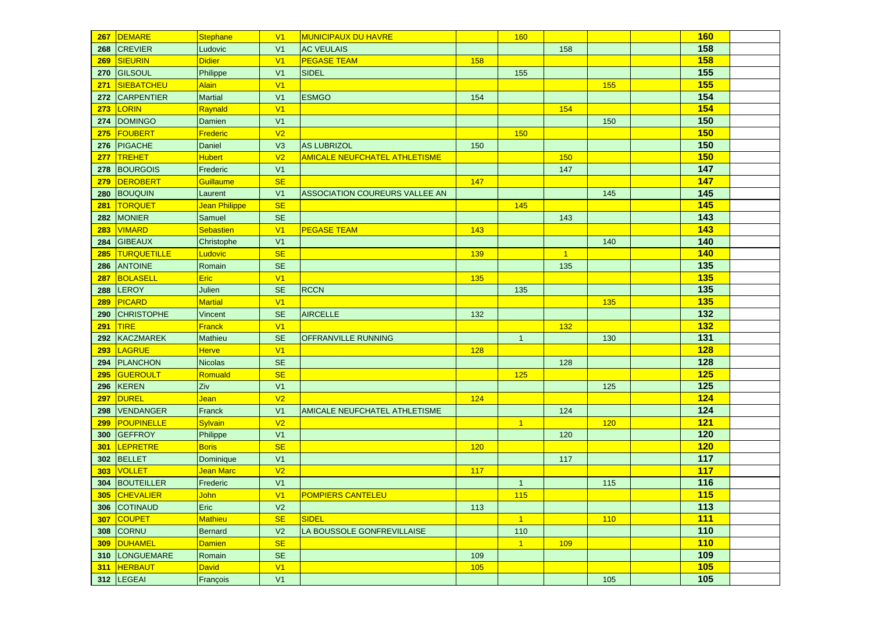| 267        | DEMARE             | <b>Stephane</b>        | V <sub>1</sub> | <b>MUNICIPAUX DU HAVRE</b>           |     | 160            |              |     | <b>160</b> |  |
|------------|--------------------|------------------------|----------------|--------------------------------------|-----|----------------|--------------|-----|------------|--|
| 268        | <b>CREVIER</b>     | Ludovic                | V <sub>1</sub> | <b>AC VEULAIS</b>                    |     |                | 158          |     | 158        |  |
| 269        | SIEURIN            | <b>Didier</b>          | V <sub>1</sub> | <b>PEGASE TEAM</b>                   | 158 |                |              |     | 158        |  |
| 270        | GILSOUL            | Philippe               | V <sub>1</sub> | <b>SIDEL</b>                         |     | 155            |              |     | 155        |  |
| 271        | <b>SIEBATCHEU</b>  | <b>Alain</b>           | V <sub>1</sub> |                                      |     |                |              | 155 | <b>155</b> |  |
| 272        | <b>CARPENTIER</b>  | <b>Martial</b>         | V <sub>1</sub> | <b>ESMGO</b>                         | 154 |                |              |     | 154        |  |
| 273        | LORIN              | Raynald                | V <sub>1</sub> |                                      |     |                | 154          |     | 154        |  |
| 274        | DOMINGO            | Damien                 | V <sub>1</sub> |                                      |     |                |              | 150 | 150        |  |
| 275        | <b>FOUBERT</b>     | Frederic               | V <sub>2</sub> |                                      |     | 150            |              |     | <b>150</b> |  |
| 276        | <b>PIGACHE</b>     | Daniel                 | V3             | <b>AS LUBRIZOL</b>                   | 150 |                |              |     | 150        |  |
| <b>277</b> | <b>TREHET</b>      | <b>Hubert</b>          | V <sub>2</sub> | <b>AMICALE NEUFCHATEL ATHLETISME</b> |     |                | 150          |     | <b>150</b> |  |
| 278        | <b>BOURGOIS</b>    | Frederic               | V <sub>1</sub> |                                      |     |                | 147          |     | 147        |  |
| 279        | DEROBERT           | Guillaume              | <b>SE</b>      |                                      | 147 |                |              |     | 147        |  |
| 280        | <b>BOUQUIN</b>     | Laurent                | V <sub>1</sub> | ASSOCIATION COUREURS VALLEE AN       |     |                |              | 145 | 145        |  |
| 281        | <b>TORQUET</b>     | Jean Philippe          | <b>SE</b>      |                                      |     | 145            |              |     | <b>145</b> |  |
| 282        | <b>MONIER</b>      | Samuel                 | <b>SE</b>      |                                      |     |                | 143          |     | 143        |  |
| 283        | <b>VIMARD</b>      | <b>Sebastien</b>       | V <sub>1</sub> | <b>PEGASE TEAM</b>                   | 143 |                |              |     | 143        |  |
| 284        | <b>GIBEAUX</b>     | Christophe             | V <sub>1</sub> |                                      |     |                |              | 140 | 140        |  |
| 285        | <b>TURQUETILLE</b> | <b>Ludovic</b>         | <b>SE</b>      |                                      | 139 |                | $\mathbf{1}$ |     | 140        |  |
| 286        | <b>ANTOINE</b>     | Romain                 | <b>SE</b>      |                                      |     |                | 135          |     | 135        |  |
| 287        | BOLASELL           | Eric                   | V <sub>1</sub> |                                      | 135 |                |              |     | <b>135</b> |  |
| 288        | <b>LEROY</b>       | Julien                 | <b>SE</b>      | <b>RCCN</b>                          |     | 135            |              |     | 135        |  |
| 289        | <b>PICARD</b>      | <b>Martial</b>         | V1             |                                      |     |                |              | 135 | <b>135</b> |  |
| 290        | <b>CHRISTOPHE</b>  | Vincent                | <b>SE</b>      | <b>AIRCELLE</b>                      | 132 |                |              |     | 132        |  |
| 291        | <b>TIRE</b>        | <b>Franck</b>          | V1             |                                      |     |                | 132          |     | <b>132</b> |  |
| 292        | KACZMAREK          | Mathieu                | <b>SE</b>      | <b>OFFRANVILLE RUNNING</b>           |     | $\mathbf{1}$   |              | 130 | 131        |  |
| 293        | <b>LAGRUE</b>      | <b>Herve</b>           | V1             |                                      | 128 |                |              |     | 128        |  |
| 294        | <b>PLANCHON</b>    | <b>Nicolas</b>         | <b>SE</b>      |                                      |     |                | 128          |     | 128        |  |
| 295        | <b>GUEROULT</b>    | Romuald                | <b>SE</b>      |                                      |     | 125            |              |     | 125        |  |
| 296        | <b>KEREN</b>       | Ziv                    | V <sub>1</sub> |                                      |     |                |              | 125 | 125        |  |
| 297        | <b>DUREL</b>       | <b>Jean</b>            | V <sub>2</sub> |                                      | 124 |                |              |     | 124        |  |
| 298        | VENDANGER          | Franck                 | V <sub>1</sub> | AMICALE NEUFCHATEL ATHLETISME        |     |                | 124          |     | 124        |  |
| 299        | <b>POUPINELLE</b>  | Sylvain                | V <sub>2</sub> |                                      |     | $\vert$ 1      |              | 120 | 121        |  |
| 300        | <b>GEFFROY</b>     | Philippe               | V <sub>1</sub> |                                      |     |                | 120          |     | 120        |  |
| 301        | LEPRETRE           | <b>Boris</b>           | <b>SE</b>      |                                      | 120 |                |              |     | 120        |  |
| 302        | BELLET             | Dominique              | V <sub>1</sub> |                                      |     |                | 117          |     | 117        |  |
| 303        | <b>VOLLET</b>      | <mark>Jean Marc</mark> | V <sub>2</sub> |                                      | 117 |                |              |     | 117        |  |
| 304        | BOUTEILLER         | Frederic               | V <sub>1</sub> |                                      |     | $\mathbf{1}$   |              | 115 | 116        |  |
|            | 305 CHEVALIER      | John                   | V1             | <b>POMPIERS CANTELEU</b>             |     | 115            |              |     | 115        |  |
|            | 306 COTINAUD       | Eric                   | V <sub>2</sub> |                                      | 113 |                |              |     | 113        |  |
|            | 307 COUPET         | Mathieu                | <b>SE</b>      | <b>SIDEL</b>                         |     | $\vert$ 1      |              | 110 | 111        |  |
|            | <b>308 CORNU</b>   | <b>Bernard</b>         | V <sub>2</sub> | LA BOUSSOLE GONFREVILLAISE           |     | 110            |              |     | 110        |  |
|            | 309 DUHAMEL        | <b>Damien</b>          | <b>SE</b>      |                                      |     | $\overline{1}$ | 109          |     | 110        |  |
|            | 310   LONGUEMARE   | Romain                 | <b>SE</b>      |                                      | 109 |                |              |     | 109        |  |
| 311        | <b>HERBAUT</b>     | <b>David</b>           | V1             |                                      | 105 |                |              |     | 105        |  |
|            | 312 LEGEAI         | François               | V1             |                                      |     |                |              | 105 | 105        |  |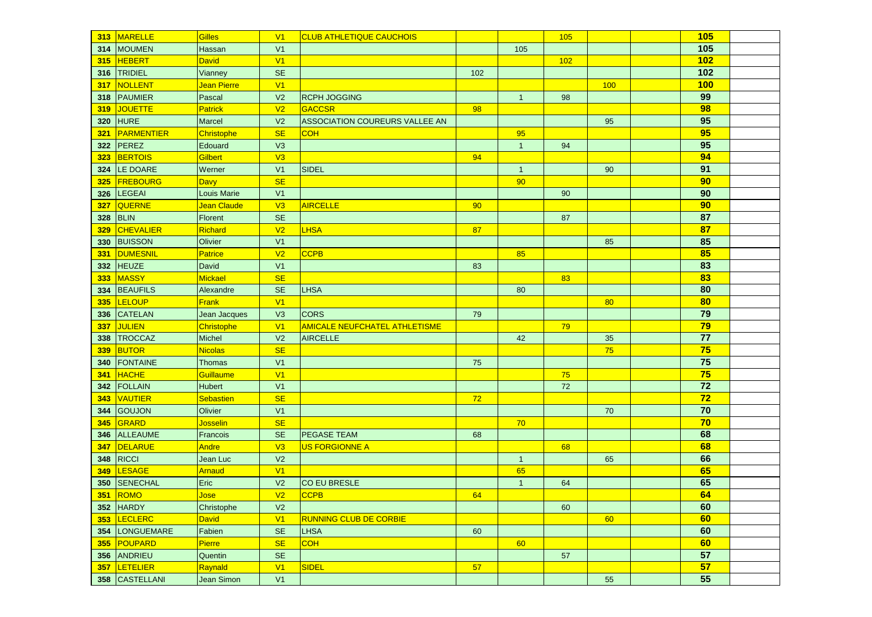|     | 313 MARELLE      | Gilles             | V <sub>1</sub>       | <b>CLUB ATHLETIQUE CAUCHOIS</b>      |     |                | 105 |     | 105 |  |
|-----|------------------|--------------------|----------------------|--------------------------------------|-----|----------------|-----|-----|-----|--|
| 314 | MOUMEN           | Hassan             | V <sub>1</sub>       |                                      |     | 105            |     |     | 105 |  |
| 315 | <b>HEBERT</b>    | <b>David</b>       | V <sub>1</sub>       |                                      |     |                | 102 |     | 102 |  |
| 316 | TRIDIEL          | Vianney            | <b>SE</b>            |                                      | 102 |                |     |     | 102 |  |
| 317 | NOLLENT          | Jean Pierre        | V <sub>1</sub>       |                                      |     |                |     | 100 | 100 |  |
| 318 | PAUMIER          | Pascal             | V <sub>2</sub>       | <b>RCPH JOGGING</b>                  |     | $\overline{1}$ | 98  |     | 99  |  |
| 319 | <b>JOUETTE</b>   | <b>Patrick</b>     | V <sub>2</sub>       | <b>GACCSR</b>                        | 98  |                |     |     | 98  |  |
| 320 | HURE             | Marcel             | V <sub>2</sub>       | ASSOCIATION COUREURS VALLEE AN       |     |                |     | 95  | 95  |  |
| 321 | PARMENTIER       | Christophe         | <b>SE</b>            | <b>COH</b>                           |     | 95             |     |     | 95  |  |
| 322 | PEREZ            | Edouard            | V3                   |                                      |     | $\mathbf{1}$   | 94  |     | 95  |  |
| 323 | <b>BERTOIS</b>   | Gilbert            | V3                   |                                      | 94  |                |     |     | 94  |  |
| 324 | LE DOARE         | Werner             | V <sub>1</sub>       | <b>SIDEL</b>                         |     | $\overline{1}$ |     | 90  | 91  |  |
| 325 | <b>FREBOURG</b>  | <b>Davy</b>        | <b>SE</b>            |                                      |     | 90             |     |     | 90  |  |
| 326 | <b>LEGEAI</b>    | <b>Louis Marie</b> | V <sub>1</sub>       |                                      |     |                | 90  |     | 90  |  |
| 327 | QUERNE           | Jean Claude        | V3                   | <b>AIRCELLE</b>                      | 90  |                |     |     | 90  |  |
| 328 | <b>BLIN</b>      | Florent            | <b>SE</b>            |                                      |     |                | 87  |     | 87  |  |
| 329 | <b>CHEVALIER</b> | Richard            | V <sub>2</sub>       | <b>LHSA</b>                          | 87  |                |     |     | 87  |  |
| 330 | <b>BUISSON</b>   | Olivier            | V <sub>1</sub>       |                                      |     |                |     | 85  | 85  |  |
| 331 | <b>DUMESNIL</b>  | <b>Patrice</b>     | V <sub>2</sub>       | <b>CCPB</b>                          |     | 85             |     |     | 85  |  |
| 332 | <b>HEUZE</b>     | David              | V <sub>1</sub>       |                                      | 83  |                |     |     | 83  |  |
| 333 | <b>MASSY</b>     | <b>Mickael</b>     | <b>SE</b>            |                                      |     |                | 83  |     | 83  |  |
| 334 | <b>BEAUFILS</b>  | Alexandre          | <b>SE</b>            | <b>LHSA</b>                          |     | 80             |     |     | 80  |  |
| 335 | LELOUP           | <b>Frank</b>       | V <sub>1</sub>       |                                      |     |                |     | 80  | 80  |  |
| 336 | <b>CATELAN</b>   | Jean Jacques       | V <sub>3</sub>       | <b>CORS</b>                          | 79  |                |     |     | 79  |  |
| 337 | <b>JULIEN</b>    | Christophe         | V <sub>1</sub>       | <b>AMICALE NEUFCHATEL ATHLETISME</b> |     |                | 79  |     | 79  |  |
| 338 | TROCCAZ          | <b>Michel</b>      | V <sub>2</sub>       | <b>AIRCELLE</b>                      |     | 42             |     | 35  | 77  |  |
| 339 | <b>BUTOR</b>     | Nicolas            | <b>SE</b>            |                                      |     |                |     | 75  | 75  |  |
| 340 | <b>FONTAINE</b>  | <b>Thomas</b>      | V <sub>1</sub>       |                                      | 75  |                |     |     | 75  |  |
| 341 | <b>HACHE</b>     | Guillaume          | V <sub>1</sub>       |                                      |     |                | 75  |     | 75  |  |
| 342 | <b>FOLLAIN</b>   | <b>Hubert</b>      | V <sub>1</sub>       |                                      |     |                | 72  |     | 72  |  |
| 343 | <b>VAUTIER</b>   | Sebastien          | <b>SE</b>            |                                      | 72  |                |     |     | 72  |  |
| 344 | <b>GOUJON</b>    | Olivier            | V <sub>1</sub>       |                                      |     |                |     | 70  | 70  |  |
| 345 | GRARD            | <b>Josselin</b>    | <b>SE</b>            |                                      |     | 70             |     |     | 70  |  |
| 346 | ALLEAUME         | Francois           | <b>SE</b>            | <b>PEGASE TEAM</b>                   | 68  |                |     |     | 68  |  |
| 347 | DELARUE          | <b>Andre</b>       | V3                   | <u>US FORGIONNE A</u>                |     |                | 68  |     | 68  |  |
| 348 | RICCI            | Jean Luc           | V <sub>2</sub>       |                                      |     | $\mathbf{1}$   |     | 65  | 66  |  |
| 349 | <b>LESAGE</b>    | Arnaud             | V <sub>1</sub>       |                                      |     | 65             |     |     | 65  |  |
| 350 | <b>SENECHAL</b>  | Eric               | V <sub>2</sub>       | <b>CO EU BRESLE</b>                  |     | $\overline{1}$ | 64  |     | 65  |  |
|     | 351 ROMO         | <mark>Jose</mark>  | V2                   | CCPB                                 | 64  |                |     |     | 64  |  |
|     | 352 HARDY        | Christophe         | V <sub>2</sub>       |                                      |     |                | 60  |     | 60  |  |
|     | 353 LECLERC      | <b>David</b>       | V1                   | <b>RUNNING CLUB DE CORBIE</b>        |     |                |     | 60  | 60  |  |
|     | 354 LONGUEMARE   | Fabien             | $\mathsf{SE}\xspace$ | <b>LHSA</b>                          | 60  |                |     |     | 60  |  |
|     | 355 POUPARD      | Pierre             | <b>SE</b>            | <b>COH</b>                           |     | 60             |     |     | 60  |  |
|     | 356 ANDRIEU      | Quentin            | <b>SE</b>            |                                      |     |                | 57  |     | 57  |  |
|     | 357 LETELIER     | Raynald            | V1                   | SIDEL                                | 57  |                |     |     | 57  |  |
|     | 358 CASTELLANI   | Jean Simon         | V1                   |                                      |     |                |     | 55  | 55  |  |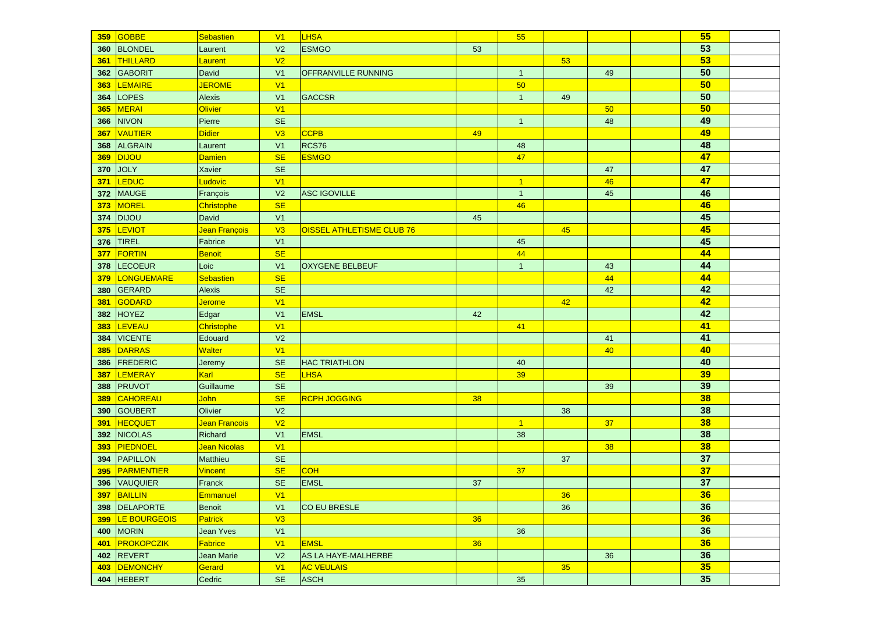|            | 359 GOBBE             | Sebastien        | V <sub>1</sub> | <b>LHSA</b>               |    | 55             |                 |    | 55              |  |
|------------|-----------------------|------------------|----------------|---------------------------|----|----------------|-----------------|----|-----------------|--|
| 360        | BLONDEL               | Laurent          | V <sub>2</sub> | <b>ESMGO</b>              | 53 |                |                 |    | 53              |  |
| 361        | THILLARD              | Laurent          | V <sub>2</sub> |                           |    |                | 53              |    | 53              |  |
|            | 362 GABORIT           | David            | V <sub>1</sub> | OFFRANVILLE RUNNING       |    | $\mathbf{1}$   |                 | 49 | 50              |  |
|            | 363 LEMAIRE           | <b>JEROME</b>    | V <sub>1</sub> |                           |    | 50             |                 |    | 50              |  |
|            | 364 LOPES             | <b>Alexis</b>    | V <sub>1</sub> | GACCSR                    |    | $\mathbf{1}$   | 49              |    | 50              |  |
|            | 365 MERAI             | Olivier          | V1             |                           |    |                |                 | 50 | 50              |  |
| 366        | NIVON                 | Pierre           | <b>SE</b>      |                           |    | $\overline{1}$ |                 | 48 | 49              |  |
| 367        | VAUTIER               | Didier           | V3             | <b>CCPB</b>               | 49 |                |                 |    | 49              |  |
| 368        | <b>ALGRAIN</b>        | Laurent          | V <sub>1</sub> | RCS76                     |    | 48             |                 |    | 48              |  |
| 369        | <b>DIJOU</b>          | Damien           | <b>SE</b>      | <b>ESMGO</b>              |    | 47             |                 |    | 47              |  |
| 370        | <b>JOLY</b>           | Xavier           | <b>SE</b>      |                           |    |                |                 | 47 | 47              |  |
| 371        | <b>LEDUC</b>          | Ludovic          | V1             |                           |    | $\overline{1}$ |                 | 46 | 47              |  |
| 372        | <b>MAUGE</b>          | François         | V <sub>2</sub> | <b>ASC IGOVILLE</b>       |    | $\overline{1}$ |                 | 45 | 46              |  |
| 373        | MOREL                 | Christophe       | <b>SE</b>      |                           |    | 46             |                 |    | 46              |  |
| 374        | <b>DIJOU</b>          | David            | V <sub>1</sub> |                           | 45 |                |                 |    | 45              |  |
| 375        | LEVIOT                | Jean François    | V3             | OISSEL ATHLETISME CLUB 76 |    |                | 45              |    | 45              |  |
| 376        | <b>TIREL</b>          | Fabrice          | V <sub>1</sub> |                           |    | 45             |                 |    | 45              |  |
| <b>377</b> | <b>FORTIN</b>         | <b>Benoit</b>    | <b>SE</b>      |                           |    | 44             |                 |    | 44              |  |
| 378        | <b>LECOEUR</b>        | Loic             | V <sub>1</sub> | <b>OXYGENE BELBEUF</b>    |    | $\mathbf{1}$   |                 | 43 | 44              |  |
| 379        | LONGUEMARE            | <b>Sebastien</b> | <b>SE</b>      |                           |    |                |                 | 44 | 44              |  |
|            | 380 GERARD            | <b>Alexis</b>    | SE             |                           |    |                |                 | 42 | 42              |  |
| 381        | GODARD                | <b>Jerome</b>    | V <sub>1</sub> |                           |    |                | 42              |    | 42              |  |
|            | 382 HOYEZ             | Edgar            | V <sub>1</sub> | <b>EMSL</b>               | 42 |                |                 |    | 42              |  |
| 383        | LEVEAU                | Christophe       | V <sub>1</sub> |                           |    | 41             |                 |    | 41              |  |
| 384        | <b>VICENTE</b>        | Edouard          | V <sub>2</sub> |                           |    |                |                 | 41 | 41              |  |
| 385        | DARRAS                | Walter           | V <sub>1</sub> |                           |    |                |                 | 40 | 40              |  |
| 386        | FREDERIC              | Jeremy           | <b>SE</b>      | <b>HAC TRIATHLON</b>      |    | 40             |                 |    | 40              |  |
| 387        | <b>LEMERAY</b>        | Karl             | <b>SE</b>      | <b>LHSA</b>               |    | 39             |                 |    | 39              |  |
|            | 388 PRUVOT            | Guillaume        | <b>SE</b>      |                           |    |                |                 | 39 | 39              |  |
| 389        | CAHOREAU              | <b>John</b>      | <b>SE</b>      | <b>RCPH JOGGING</b>       | 38 |                |                 |    | 38              |  |
|            | 390 GOUBERT           | Olivier          | V <sub>2</sub> |                           |    |                | 38              |    | 38              |  |
| 391        | <b>HECQUET</b>        | Jean Francois    | V <sub>2</sub> |                           |    | $\vert$ 1      |                 | 37 | 38              |  |
|            | 392 NICOLAS           | Richard          | V <sub>1</sub> | <b>EMSL</b>               |    | 38             |                 |    | 38              |  |
| 393        | PIEDNOEL              | Jean Nicolas     | V <sub>1</sub> |                           |    |                |                 | 38 | 38              |  |
|            | 394 PAPILLON          | Matthieu         | <b>SE</b>      |                           |    |                | 37              |    | 37              |  |
|            | 395 PARMENTIER        | <b>Vincent</b>   | <b>SE</b>      | <b>COH</b>                |    | 37             |                 |    | $\overline{37}$ |  |
|            | 396 VAUQUIER          | Franck           | <b>SE</b>      | <b>EMSL</b>               | 37 |                |                 |    | 37              |  |
|            | 397 BAILLIN           | Emmanuel         | V1             |                           |    |                | 36 <sup>°</sup> |    | 36              |  |
|            | 398 DELAPORTE         | <b>Benoit</b>    | V <sub>1</sub> | CO EU BRESLE              |    |                | 36              |    | 36              |  |
|            | 399 LE BOURGEOIS      | <b>Patrick</b>   | V3             |                           | 36 |                |                 |    | 36              |  |
|            | <b>400 MORIN</b>      | Jean Yves        | V1             |                           |    | 36             |                 |    | 36              |  |
|            | 401 <b>PROKOPCZIK</b> | Fabrice          | V1             | <b>EMSL</b>               | 36 |                |                 |    | 36              |  |
|            | 402 REVERT            | Jean Marie       | V <sub>2</sub> | AS LA HAYE-MALHERBE       |    |                |                 | 36 | 36              |  |
|            | 403 DEMONCHY          | Gerard           | V1             | <b>AC VEULAIS</b>         |    |                | 35              |    | 35              |  |
|            | 404 HEBERT            | Cedric           | <b>SE</b>      | <b>ASCH</b>               |    | $35\,$         |                 |    | 35              |  |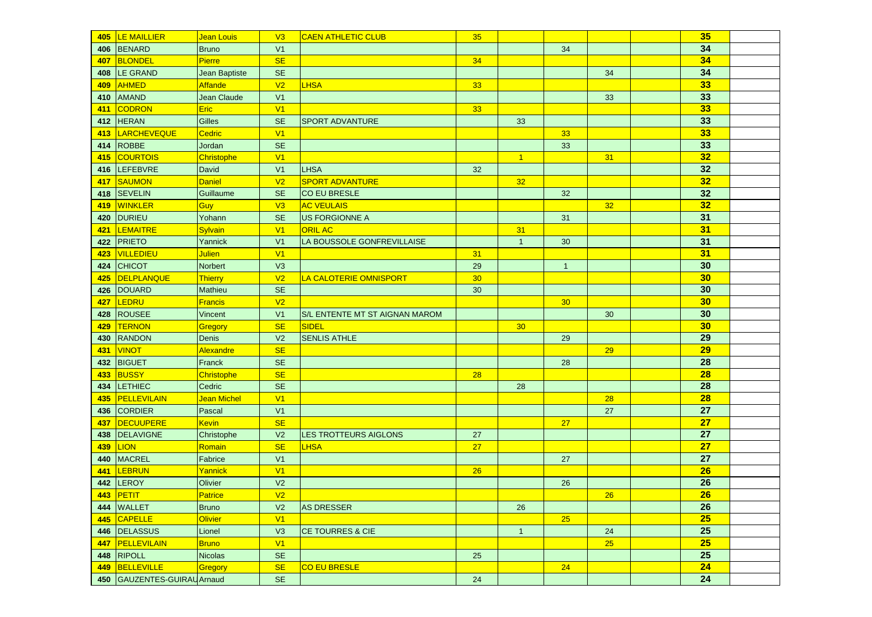|     | 405   LE MAILLIER           | Jean Louis       | V3             | <b>CAEN ATHLETIC CLUB</b>      | 35              |              |                 |           | 35              |  |
|-----|-----------------------------|------------------|----------------|--------------------------------|-----------------|--------------|-----------------|-----------|-----------------|--|
|     | 406 BENARD                  | <b>Bruno</b>     | V <sub>1</sub> |                                |                 |              | 34              |           | 34              |  |
|     | 407 BLONDEL                 | Pierre           | <b>SE</b>      |                                | 34              |              |                 |           | 34              |  |
|     | 408 LE GRAND                | Jean Baptiste    | <b>SE</b>      |                                |                 |              |                 | 34        | 34              |  |
|     | 409 AHMED                   | Affande          | V <sub>2</sub> | <b>LHSA</b>                    | 33              |              |                 |           | 33              |  |
|     | 410 AMAND                   | Jean Claude      | V <sub>1</sub> |                                |                 |              |                 | 33        | 33              |  |
|     | 411 CODRON                  | <b>Eric</b>      | V <sub>1</sub> |                                | 33              |              |                 |           | 33              |  |
|     | 412 HERAN                   | Gilles           | <b>SE</b>      | <b>SPORT ADVANTURE</b>         |                 | 33           |                 |           | 33              |  |
|     | 413   LARCHEVEQUE           | Cedric           | V1             |                                |                 |              | 33              |           | 33              |  |
|     | 414 ROBBE                   | Jordan           | <b>SE</b>      |                                |                 |              | 33              |           | 33              |  |
|     | 415 COURTOIS                | Christophe       | V <sub>1</sub> |                                |                 | $\vert$ 1    |                 | 31        | 32              |  |
|     | 416 LEFEBVRE                | David            | V <sub>1</sub> | <b>LHSA</b>                    | 32              |              |                 |           | 32              |  |
|     | 417 SAUMON                  | Daniel           | V <sub>2</sub> | <b>SPORT ADVANTURE</b>         |                 | 32           |                 |           | 32              |  |
|     | 418 SEVELIN                 | Guillaume        | <b>SE</b>      | CO EU BRESLE                   |                 |              | 32              |           | 32              |  |
|     | 419 WINKLER                 | Guy              | V3             | <b>AC VEULAIS</b>              |                 |              |                 | 32        | 32              |  |
|     | 420 DURIEU                  | Yohann           | <b>SE</b>      | <b>US FORGIONNE A</b>          |                 |              | 31              |           | 31              |  |
|     | 421 LEMAITRE                | Sylvain          | V1             | <b>ORIL AC</b>                 |                 | 31           |                 |           | 31              |  |
|     | 422 PRIETO                  | Yannick          | V <sub>1</sub> | LA BOUSSOLE GONFREVILLAISE     |                 | $\mathbf{1}$ | 30              |           | 31              |  |
| 423 | <b>VILLEDIEU</b>            | <b>Julien</b>    | V1             |                                | 31              |              |                 |           | 31              |  |
|     | 424 CHICOT                  | Norbert          | V3             |                                | 29              |              | $\mathbf{1}$    |           | 30              |  |
| 425 | DELPLANQUE                  | <b>Thierry</b>   | V <sub>2</sub> | LA CALOTERIE OMNISPORT         | 30 <sub>o</sub> |              |                 |           | 30              |  |
|     | 426 DOUARD                  | <b>Mathieu</b>   | <b>SE</b>      |                                | 30              |              |                 |           | 30              |  |
|     | 427 LEDRU                   | <b>Francis</b>   | V <sub>2</sub> |                                |                 |              | 30 <sub>o</sub> |           | 30              |  |
|     | 428 ROUSEE                  | Vincent          | V <sub>1</sub> | S/L ENTENTE MT ST AIGNAN MAROM |                 |              |                 | 30        | 30              |  |
|     | 429 TERNON                  | Gregory          | <b>SE</b>      | SIDEL                          |                 | 30           |                 |           | 30              |  |
|     | 430 RANDON                  | <b>Denis</b>     | V <sub>2</sub> | <b>SENLIS ATHLE</b>            |                 |              | 29              |           | 29              |  |
|     | 431 <b>VINOT</b>            | <b>Alexandre</b> | <b>SE</b>      |                                |                 |              |                 | 29        | 29              |  |
|     | 432 BIGUET                  | Franck           | <b>SE</b>      |                                |                 |              | 28              |           | 28              |  |
|     | 433 BUSSY                   | Christophe       | <b>SE</b>      |                                | 28              |              |                 |           | 28              |  |
|     | 434 LETHIEC                 | Cedric           | <b>SE</b>      |                                |                 | 28           |                 |           | 28              |  |
|     | 435 PELLEVILAIN             | Jean Michel      | V <sub>1</sub> |                                |                 |              |                 | 28        | 28              |  |
|     | 436 CORDIER                 | Pascal           | V <sub>1</sub> |                                |                 |              |                 | 27        | 27              |  |
| 437 | DECUUPERE                   | <b>Kevin</b>     | <b>SE</b>      |                                |                 |              | 27              |           | 27              |  |
|     | 438   DELAVIGNE             | Christophe       | V <sub>2</sub> | LES TROTTEURS AIGLONS          | 27              |              |                 |           | 27              |  |
|     | 439 <b>LION</b>             | Romain           | <b>SE</b>      | <b>LHSA</b>                    | 27              |              |                 |           | 27              |  |
|     | 440   MACREL                | Fabrice          | V <sub>1</sub> |                                |                 |              | 27              |           | 27              |  |
| 441 | LEBRUN                      | Yannick          | V <sub>1</sub> |                                | 26              |              |                 |           | 26              |  |
|     | 442 LEROY                   | Olivier          | V <sub>2</sub> |                                |                 |              | 26              |           | $\overline{26}$ |  |
|     | 443 PETIT                   | Patrice          | V <sub>2</sub> |                                |                 |              |                 | <b>26</b> | $\overline{26}$ |  |
|     | 444 WALLET                  | <b>Bruno</b>     | V <sub>2</sub> | <b>AS DRESSER</b>              |                 | 26           |                 |           | 26              |  |
|     | 445 CAPELLE                 | <b>Olivier</b>   | V1             |                                |                 |              | 25              |           | 25              |  |
|     | 446 DELASSUS                | Lionel           | V3             | <b>CE TOURRES &amp; CIE</b>    |                 | $\mathbf{1}$ |                 | 24        | 25              |  |
|     | 447 PELLEVILAIN             | <b>Bruno</b>     | V1             |                                |                 |              |                 | 25        | 25              |  |
|     | 448 RIPOLL                  | <b>Nicolas</b>   | <b>SE</b>      |                                | 25              |              |                 |           | 25              |  |
|     | 449 BELLEVILLE              | Gregory          | <b>SE</b>      | <b>CO EU BRESLE</b>            |                 |              | 24              |           | 24              |  |
|     | 450 GAUZENTES-GUIRAU Arnaud |                  | $\mathsf{SE}$  |                                | 24              |              |                 |           | 24              |  |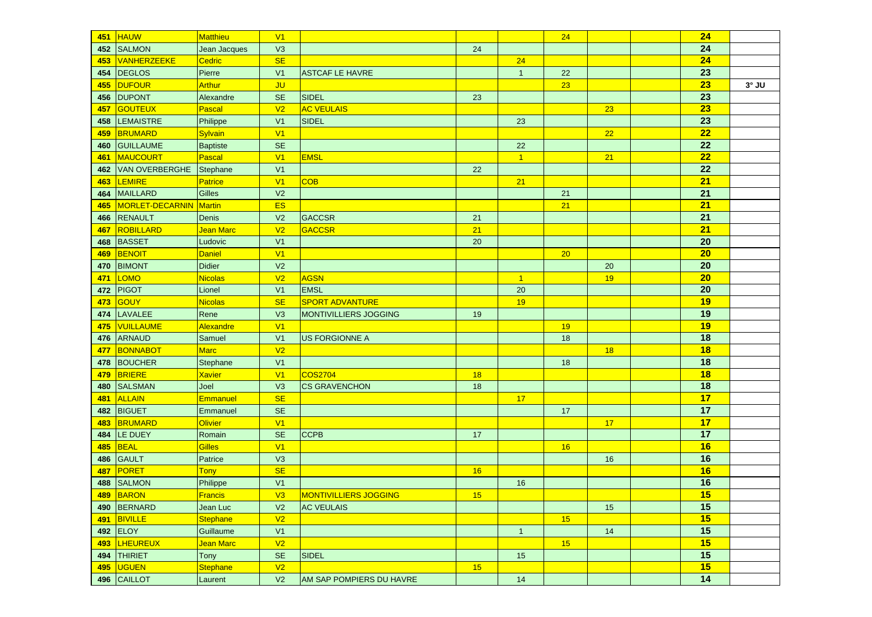| 451 | <b>HAUW</b>           | <b>Matthieu</b>        | V1             |                              |                 |                | 24 |    | 24 |              |
|-----|-----------------------|------------------------|----------------|------------------------------|-----------------|----------------|----|----|----|--------------|
| 452 | <b>SALMON</b>         | Jean Jacques           | V3             |                              | 24              |                |    |    | 24 |              |
| 453 | VANHERZEEKE           | Cedric                 | <b>SE</b>      |                              |                 | 24             |    |    | 24 |              |
| 454 | <b>DEGLOS</b>         | Pierre                 | V <sub>1</sub> | <b>ASTCAF LE HAVRE</b>       |                 | $\mathbf{1}$   | 22 |    | 23 |              |
| 455 | <b>DUFOUR</b>         | <b>Arthur</b>          | <b>JU</b>      |                              |                 |                | 23 |    | 23 | $3^\circ$ JU |
| 456 | <b>DUPONT</b>         | Alexandre              | <b>SE</b>      | <b>SIDEL</b>                 | 23              |                |    |    | 23 |              |
| 457 | <b>GOUTEUX</b>        | Pascal                 | V <sub>2</sub> | <b>AC VEULAIS</b>            |                 |                |    | 23 | 23 |              |
| 458 | <b>LEMAISTRE</b>      | Philippe               | V <sub>1</sub> | <b>SIDEL</b>                 |                 | 23             |    |    | 23 |              |
| 459 | BRUMARD               | Sylvain                | V <sub>1</sub> |                              |                 |                |    | 22 | 22 |              |
| 460 | <b>GUILLAUME</b>      | <b>Baptiste</b>        | <b>SE</b>      |                              |                 | 22             |    |    | 22 |              |
| 461 | MAUCOURT              | Pascal                 | V <sub>1</sub> | <b>EMSL</b>                  |                 | $\vert$ 1      |    | 21 | 22 |              |
| 462 | <b>VAN OVERBERGHE</b> | Stephane               | V <sub>1</sub> |                              | 22              |                |    |    | 22 |              |
| 463 | <b>LEMIRE</b>         | Patrice                | V <sub>1</sub> | <b>COB</b>                   |                 | 21             |    |    | 21 |              |
| 464 | <b>MAILLARD</b>       | <b>Gilles</b>          | V <sub>2</sub> |                              |                 |                | 21 |    | 21 |              |
| 465 | MORLET-DECARNIN       | Martin                 | <b>ES</b>      |                              |                 |                | 21 |    | 21 |              |
| 466 | <b>RENAULT</b>        | Denis                  | V <sub>2</sub> | <b>GACCSR</b>                | 21              |                |    |    | 21 |              |
| 467 | ROBILLARD             | Jean Marc              | V <sub>2</sub> | <b>GACCSR</b>                | 21              |                |    |    | 21 |              |
| 468 | <b>BASSET</b>         | Ludovic                | V <sub>1</sub> |                              | 20              |                |    |    | 20 |              |
| 469 | <b>BENOIT</b>         | Daniel                 | V <sub>1</sub> |                              |                 |                | 20 |    | 20 |              |
| 470 | <b>BIMONT</b>         | <b>Didier</b>          | V <sub>2</sub> |                              |                 |                |    | 20 | 20 |              |
| 471 | <b>LOMO</b>           | Nicolas                | V <sub>2</sub> | <b>AGSN</b>                  |                 | $\overline{1}$ |    | 19 | 20 |              |
| 472 | <b>PIGOT</b>          | Lionel                 | V <sub>1</sub> | <b>EMSL</b>                  |                 | 20             |    |    | 20 |              |
| 473 | GOUY                  | Nicolas                | <b>SE</b>      | <b>SPORT ADVANTURE</b>       |                 | 19             |    |    | 19 |              |
| 474 | LAVALEE               | Rene                   | V3             | <b>MONTIVILLIERS JOGGING</b> | 19              |                |    |    | 19 |              |
| 475 | VUILLAUME             | Alexandre              | V <sub>1</sub> |                              |                 |                | 19 |    | 19 |              |
| 476 | ARNAUD                | Samuel                 | V <sub>1</sub> | <b>US FORGIONNE A</b>        |                 |                | 18 |    | 18 |              |
| 477 | BONNABOT              | Marc                   | V <sub>2</sub> |                              |                 |                |    | 18 | 18 |              |
| 478 | <b>BOUCHER</b>        | Stephane               | V <sub>1</sub> |                              |                 |                | 18 |    | 18 |              |
| 479 | <b>BRIERE</b>         | <b>Xavier</b>          | V <sub>1</sub> | <b>COS2704</b>               | 18              |                |    |    | 18 |              |
| 480 | <b>SALSMAN</b>        | Joel                   | V3             | <b>CS GRAVENCHON</b>         | 18              |                |    |    | 18 |              |
| 481 | <b>ALLAIN</b>         | Emmanuel               | <b>SE</b>      |                              |                 | 17             |    |    | 17 |              |
| 482 | <b>BIGUET</b>         | Emmanuel               | <b>SE</b>      |                              |                 |                | 17 |    | 17 |              |
| 483 | <b>BRUMARD</b>        | <b>Olivier</b>         | V1             |                              |                 |                |    | 17 | 17 |              |
| 484 | LE DUEY               | Romain                 | <b>SE</b>      | <b>CCPB</b>                  | 17              |                |    |    | 17 |              |
| 485 | <b>BEAL</b>           | <b>Gilles</b>          | V <sub>1</sub> |                              |                 |                | 16 |    | 16 |              |
| 486 | <b>GAULT</b>          | Patrice                | V3             |                              |                 |                |    | 16 | 16 |              |
| 487 | PORET                 | <b>Tony</b>            | <b>SE</b>      |                              | 16              |                |    |    | 16 |              |
| 488 | <b>SALMON</b>         | Philippe               | V <sub>1</sub> |                              |                 | 16             |    |    | 16 |              |
|     | 489 BARON             | Francis                | V3             | MONTIVILLIERS JOGGING        | 15 <sub>1</sub> |                |    |    | 15 |              |
|     | 490 BERNARD           | Jean Luc               | V <sub>2</sub> | <b>AC VEULAIS</b>            |                 |                |    | 15 | 15 |              |
|     | 491 BIVILLE           | Stephane               | V <sub>2</sub> |                              |                 |                | 15 |    | 15 |              |
|     | 492 ELOY              | Guillaume              | V1             |                              |                 | 1              |    | 14 | 15 |              |
|     | 493 LHEUREUX          | <mark>Jean Marc</mark> | V <sub>2</sub> |                              |                 |                | 15 |    | 15 |              |
|     | 494 THIRIET           | Tony                   | <b>SE</b>      | <b>SIDEL</b>                 |                 | 15             |    |    | 15 |              |
| 495 | <b>UGUEN</b>          | Stephane               | V <sub>2</sub> |                              | 15              |                |    |    | 15 |              |
|     | 496 CAILLOT           | Laurent                | V <sub>2</sub> | AM SAP POMPIERS DU HAVRE     |                 | $14$           |    |    | 14 |              |
|     |                       |                        |                |                              |                 |                |    |    |    |              |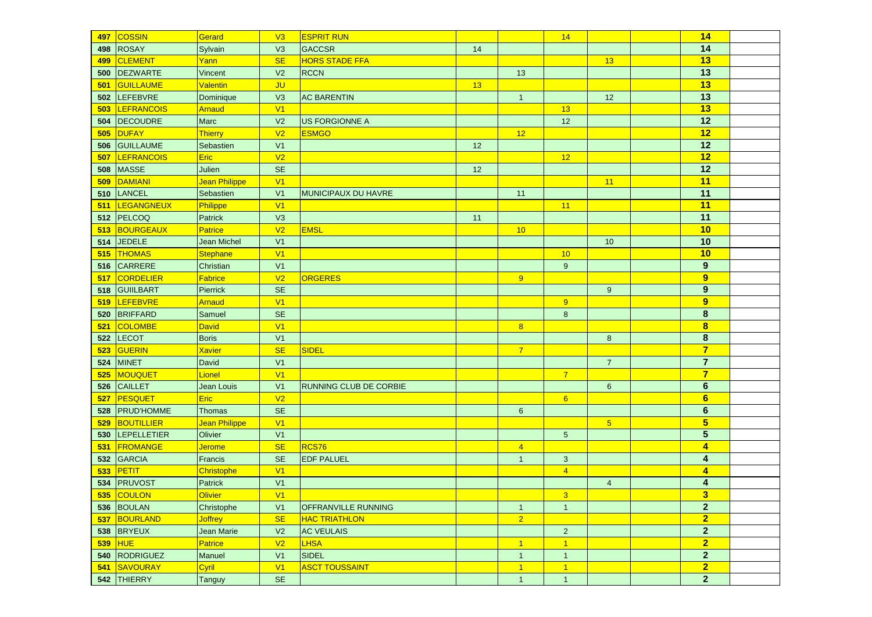| 497 | <b>COSSIN</b>      | Gerard               | V3             | <b>ESPRIT RUN</b>             |    |                | 14             |                | 14                      |  |
|-----|--------------------|----------------------|----------------|-------------------------------|----|----------------|----------------|----------------|-------------------------|--|
| 498 | <b>ROSAY</b>       | Sylvain              | V3             | <b>GACCSR</b>                 | 14 |                |                |                | 14                      |  |
| 499 | CLEMENT            | Yann                 | <b>SE</b>      | <b>HORS STADE FFA</b>         |    |                |                | 13             | 13                      |  |
| 500 | DEZWARTE           | Vincent              | V <sub>2</sub> | <b>RCCN</b>                   |    | 13             |                |                | 13                      |  |
| 501 | GUILLAUME          | <b>Valentin</b>      | <b>JU</b>      |                               | 13 |                |                |                | 13                      |  |
|     | 502 LEFEBVRE       | Dominique            | V3             | <b>AC BARENTIN</b>            |    | $\overline{1}$ |                | 12             | 13                      |  |
| 503 | <b>LEFRANCOIS</b>  | Arnaud               | V1             |                               |    |                | 13             |                | 13                      |  |
| 504 | DECOUDRE           | Marc                 | V <sub>2</sub> | <b>US FORGIONNE A</b>         |    |                | 12             |                | 12                      |  |
| 505 | DUFAY              | <b>Thierry</b>       | V <sub>2</sub> | <b>ESMGO</b>                  |    | 12             |                |                | 12                      |  |
| 506 | <b>GUILLAUME</b>   | Sebastien            | V <sub>1</sub> |                               | 12 |                |                |                | 12                      |  |
| 507 | <b>LEFRANCOIS</b>  | Eric                 | V <sub>2</sub> |                               |    |                | 12             |                | 12                      |  |
| 508 | <b>MASSE</b>       | Julien               | <b>SE</b>      |                               | 12 |                |                |                | 12                      |  |
| 509 | DAMIANI            | <b>Jean Philippe</b> | V1             |                               |    |                |                | 11             | 11                      |  |
| 510 | LANCEL             | Sebastien            | V <sub>1</sub> | MUNICIPAUX DU HAVRE           |    | 11             |                |                | 11                      |  |
| 511 | LEGANGNEUX         | Philippe             | V1             |                               |    |                | 11             |                | 11                      |  |
|     | 512 PELCOQ         | Patrick              | V3             |                               | 11 |                |                |                | $\overline{11}$         |  |
| 513 | BOURGEAUX          | <b>Patrice</b>       | V <sub>2</sub> | <b>EMSL</b>                   |    | 10             |                |                | 10                      |  |
| 514 | <b>JEDELE</b>      | <b>Jean Michel</b>   | V <sub>1</sub> |                               |    |                |                | 10             | 10                      |  |
| 515 | <b>THOMAS</b>      | <b>Stephane</b>      | V1             |                               |    |                | 10             |                | 10                      |  |
| 516 | CARRERE            | Christian            | V <sub>1</sub> |                               |    |                | 9              |                | 9                       |  |
| 517 | CORDELIER          | Fabrice              | V <sub>2</sub> | <b>ORGERES</b>                |    | 9              |                |                | 9                       |  |
| 518 | GUIILBART          | Pierrick             | <b>SE</b>      |                               |    |                |                | $\overline{9}$ | $\boldsymbol{9}$        |  |
| 519 | LEFEBVRE           | Arnaud               | V1             |                               |    |                | 9              |                | 9                       |  |
| 520 | <b>BRIFFARD</b>    | Samuel               | <b>SE</b>      |                               |    |                | 8              |                | $\bf8$                  |  |
| 521 | COLOMBE            | <b>David</b>         | V1             |                               |    | 8              |                |                | $\bf{8}$                |  |
| 522 | LECOT              | <b>Boris</b>         | V <sub>1</sub> |                               |    |                |                | 8              | 8                       |  |
| 523 | GUERIN             | <b>Xavier</b>        | <b>SE</b>      | SIDEL                         |    | $\overline{7}$ |                |                | $\overline{7}$          |  |
| 524 | <b>MINET</b>       | David                | V <sub>1</sub> |                               |    |                |                | $\mathbf{7}$   | $\overline{7}$          |  |
| 525 | <b>MOUQUET</b>     | Lionel               | V <sub>1</sub> |                               |    |                | $\overline{7}$ |                | $\overline{7}$          |  |
| 526 | <b>CAILLET</b>     | Jean Louis           | V <sub>1</sub> | <b>RUNNING CLUB DE CORBIE</b> |    |                |                | 6              | 6                       |  |
| 527 | <b>PESQUET</b>     | Eric                 | V <sub>2</sub> |                               |    |                | 6              |                | 6                       |  |
| 528 | <b>PRUD'HOMME</b>  | <b>Thomas</b>        | <b>SE</b>      |                               |    | $6\phantom{1}$ |                |                | 6                       |  |
| 529 | BOUTILLIER         | Jean Philippe        | V1             |                               |    |                |                | 5 <sub>5</sub> | $5\phantom{a}$          |  |
| 530 | <b>LEPELLETIER</b> | Olivier              | V <sub>1</sub> |                               |    |                | 5              |                | $5\phantom{.0}$         |  |
| 531 | FROMANGE           | <b>Jerome</b>        | <b>SE</b>      | RCS76                         |    | $\overline{4}$ |                |                | $\overline{\mathbf{4}}$ |  |
| 532 | GARCIA             | Francis              | <b>SE</b>      | <b>EDF PALUEL</b>             |    | $\overline{1}$ | $\mathbf{3}$   |                | 4                       |  |
| 533 | PETIT              | Christophe           | V1             |                               |    |                | $\overline{4}$ |                | $\overline{4}$          |  |
| 534 | PRUVOST            | Patrick              | V <sub>1</sub> |                               |    |                |                | 4              | 4                       |  |
|     | 535 COULON         | Olivier              | V1             |                               |    |                | 3 <sup>7</sup> |                | $\overline{\mathbf{3}}$ |  |
|     | 536 BOULAN         | Christophe           | V <sub>1</sub> | <b>OFFRANVILLE RUNNING</b>    |    | $\overline{1}$ | $\mathbf{1}$   |                | $\overline{2}$          |  |
|     | 537 BOURLAND       | <b>Joffrey</b>       | <b>SE</b>      | <b>HAC TRIATHLON</b>          |    | $\overline{2}$ |                |                | $\overline{2}$          |  |
|     | 538 BRYEUX         | Jean Marie           | V <sub>2</sub> | <b>AC VEULAIS</b>             |    |                | $\overline{2}$ |                | $\mathbf{2}$            |  |
|     | $539$ HUE          | <b>Patrice</b>       | V <sub>2</sub> | <b>LHSA</b>                   |    | 1              | 1              |                | $\overline{2}$          |  |
|     | 540 RODRIGUEZ      | Manuel               | V <sub>1</sub> | <b>SIDEL</b>                  |    | $\overline{1}$ | $\mathbf{1}$   |                | $\mathbf{2}$            |  |
| 541 | SAVOURAY           | Cyril                | V1             | <b>ASCT TOUSSAINT</b>         |    | $\vert$ 1      | 1              |                | $\overline{2}$          |  |
|     | 542 THIERRY        | Tanguy               | <b>SE</b>      |                               |    | $\overline{1}$ | $\overline{1}$ |                | $\mathbf{2}$            |  |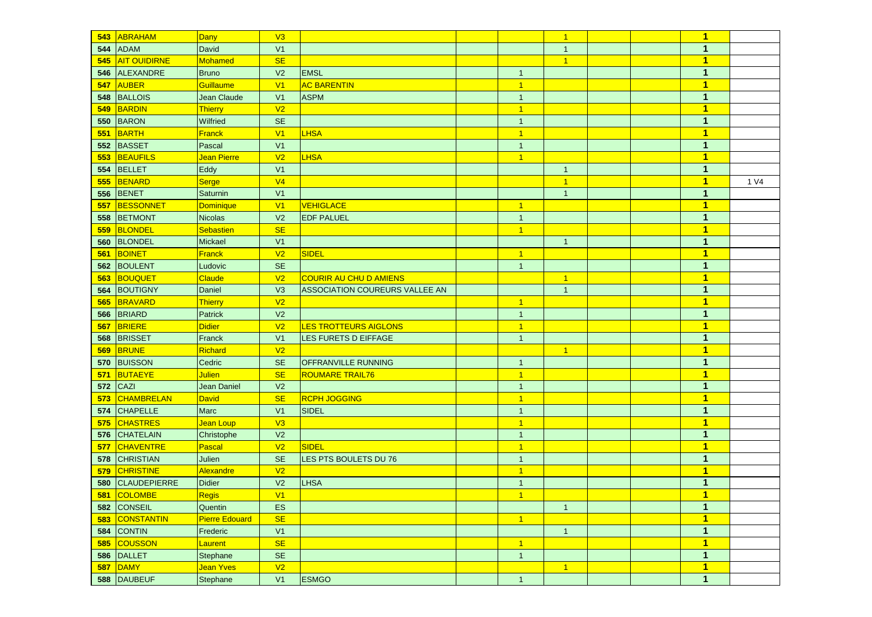| 543 | ABRAHAM             | <b>Dany</b>           | V3             |                                |                | $\vert$        |  | $\mathbf 1$             |      |
|-----|---------------------|-----------------------|----------------|--------------------------------|----------------|----------------|--|-------------------------|------|
| 544 | <b>ADAM</b>         | <b>David</b>          | V <sub>1</sub> |                                |                | $\overline{1}$ |  | $\mathbf{1}$            |      |
| 545 | <b>AIT OUIDIRNE</b> | Mohamed               | <b>SE</b>      |                                |                | $\overline{1}$ |  | $\blacksquare$          |      |
| 546 | <b>ALEXANDRE</b>    | <b>Bruno</b>          | V <sub>2</sub> | <b>EMSL</b>                    | $\overline{1}$ |                |  | $\mathbf{1}$            |      |
| 547 | <b>AUBER</b>        | <b>Guillaume</b>      | V <sub>1</sub> | <b>AC BARENTIN</b>             | $\overline{1}$ |                |  | $\overline{1}$          |      |
| 548 | <b>BALLOIS</b>      | Jean Claude           | V <sub>1</sub> | <b>ASPM</b>                    | $\overline{1}$ |                |  | $\mathbf{1}$            |      |
| 549 | BARDIN              | <b>Thierry</b>        | V <sub>2</sub> |                                | $\overline{1}$ |                |  | $\overline{1}$          |      |
| 550 | BARON               | Wilfried              | <b>SE</b>      |                                | $\overline{1}$ |                |  | 1                       |      |
| 551 | BARTH               | <b>Franck</b>         | V <sub>1</sub> | <b>LHSA</b>                    | $\overline{1}$ |                |  | $\overline{1}$          |      |
| 552 | BASSET              | Pascal                | V <sub>1</sub> |                                | $\overline{1}$ |                |  | $\mathbf{1}$            |      |
| 553 | BEAUFILS            | Jean Pierre           | V <sub>2</sub> | <b>LHSA</b>                    | $\overline{1}$ |                |  | $\overline{1}$          |      |
| 554 | BELLET              | Eddy                  | V <sub>1</sub> |                                |                | $\overline{1}$ |  | $\mathbf{1}$            |      |
| 555 | BENARD              | Serge                 | V <sub>4</sub> |                                |                | $\overline{1}$ |  | $\overline{1}$          | 1 V4 |
| 556 | <b>BENET</b>        | Saturnin              | V <sub>1</sub> |                                |                | $\overline{1}$ |  | 1                       |      |
| 557 | <b>BESSONNET</b>    | Dominique             | V <sub>1</sub> | VEHIGLACE                      | $\overline{1}$ |                |  | $\blacksquare$          |      |
| 558 | <b>BETMONT</b>      | <b>Nicolas</b>        | V <sub>2</sub> | <b>EDF PALUEL</b>              | $\overline{1}$ |                |  | 1                       |      |
| 559 | BLONDEL             | <b>Sebastien</b>      | <b>SE</b>      |                                | $\overline{1}$ |                |  | $\mathbf{1}$            |      |
| 560 | <b>BLONDEL</b>      | Mickael               | V <sub>1</sub> |                                |                | $\overline{1}$ |  | 1                       |      |
| 561 | BOINET              | <b>Franck</b>         | V <sub>2</sub> | SIDEL                          | $\vert$ 1      |                |  | $\blacksquare$          |      |
| 562 | <b>BOULENT</b>      | Ludovic               | <b>SE</b>      |                                | $\overline{1}$ |                |  | $\mathbf{1}$            |      |
| 563 | BOUQUET             | <b>Claude</b>         | V <sub>2</sub> | <b>COURIR AU CHU D AMIENS</b>  |                | $\overline{1}$ |  | $\blacksquare$          |      |
| 564 | <b>BOUTIGNY</b>     | Daniel                | V3             | ASSOCIATION COUREURS VALLEE AN |                | $\overline{1}$ |  | $\mathbf{1}$            |      |
| 565 | BRAVARD             | Thierry               | V <sub>2</sub> |                                | $\overline{1}$ |                |  | $\overline{1}$          |      |
| 566 | <b>BRIARD</b>       | <b>Patrick</b>        | V <sub>2</sub> |                                | $\overline{1}$ |                |  | $\mathbf{1}$            |      |
| 567 | <b>BRIERE</b>       | <b>Didier</b>         | V <sub>2</sub> | LES TROTTEURS AIGLONS          | $\overline{1}$ |                |  | $\overline{1}$          |      |
| 568 | <b>BRISSET</b>      | Franck                | V <sub>1</sub> | LES FURETS D EIFFAGE           | $\overline{1}$ |                |  | $\mathbf{1}$            |      |
| 569 | <b>BRUNE</b>        | Richard               | V <sub>2</sub> |                                |                | $\overline{1}$ |  | $\blacksquare$          |      |
| 570 | <b>BUISSON</b>      | Cedric                | <b>SE</b>      | <b>OFFRANVILLE RUNNING</b>     | $\overline{1}$ |                |  | $\mathbf{1}$            |      |
| 571 | BUTAEYE             | <b>Julien</b>         | <b>SE</b>      | <b>ROUMARE TRAIL76</b>         | $\overline{1}$ |                |  | $\blacksquare$          |      |
| 572 | CAZI                | Jean Daniel           | V <sub>2</sub> |                                | $\overline{1}$ |                |  | 1                       |      |
| 573 | <b>CHAMBRELAN</b>   | <b>David</b>          | <b>SE</b>      | <b>RCPH JOGGING</b>            | $\overline{1}$ |                |  | $\overline{1}$          |      |
| 574 | <b>CHAPELLE</b>     | <b>Marc</b>           | V <sub>1</sub> | SIDEL                          | $\overline{1}$ |                |  | 1                       |      |
| 575 | <b>CHASTRES</b>     | Jean Loup             | V3             |                                | $\overline{1}$ |                |  | $\blacksquare$          |      |
| 576 | <b>CHATELAIN</b>    | Christophe            | V <sub>2</sub> |                                | $\overline{1}$ |                |  | 1                       |      |
| 577 | <b>CHAVENTRE</b>    | Pascal                | V <sub>2</sub> | <b>SIDEL</b>                   | $\overline{1}$ |                |  | $\mathbf{1}$            |      |
| 578 | <b>CHRISTIAN</b>    | Julien                | <b>SE</b>      | LES PTS BOULETS DU 76          | $\overline{1}$ |                |  | $\mathbf{1}$            |      |
| 579 | <b>CHRISTINE</b>    | Alexandre             | V <sub>2</sub> |                                | $\overline{1}$ |                |  | $\blacksquare$          |      |
| 580 | <b>CLAUDEPIERRE</b> | Didier                | V <sub>2</sub> | LHSA                           | $\overline{1}$ |                |  | $\mathbf{1}$            |      |
|     | 581 COLOMBE         | Regis                 | V1             |                                | $\mathbf{1}$   |                |  | 1                       |      |
|     | 582 CONSEIL         | Quentin               | <b>ES</b>      |                                |                | $\overline{1}$ |  | $\mathbf{1}$            |      |
| 583 | CONSTANTIN          | <b>Pierre Edouard</b> | <b>SE</b>      |                                | $\overline{1}$ |                |  | $\overline{1}$          |      |
|     | 584 CONTIN          | Frederic              | V <sub>1</sub> |                                |                | $\mathbf{1}$   |  | $\mathbf{1}$            |      |
| 585 | <b>COUSSON</b>      | Laurent               | <b>SE</b>      |                                | $\overline{1}$ |                |  | $\overline{\mathbf{1}}$ |      |
|     | 586 DALLET          | Stephane              | SE             |                                | $\overline{1}$ |                |  | $\mathbf{1}$            |      |
| 587 | DAMY                | Jean Yves             | V <sub>2</sub> |                                |                | $\vert$ 1      |  | $\overline{1}$          |      |
|     | 588 DAUBEUF         | Stephane              | V1             | <b>ESMGO</b>                   | $\overline{1}$ |                |  | $\mathbf{1}$            |      |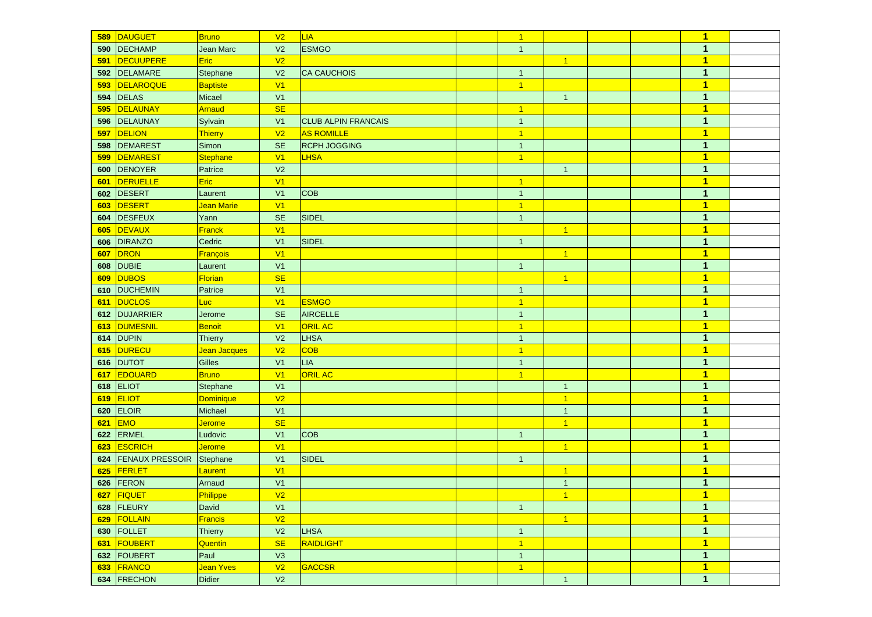| 589 | DAUGUET             | <b>Bruno</b>     | V <sub>2</sub> | LIA                        | $\vert$ 1      |                      |  | $\blacktriangleleft$    |  |
|-----|---------------------|------------------|----------------|----------------------------|----------------|----------------------|--|-------------------------|--|
| 590 | DECHAMP             | Jean Marc        | V <sub>2</sub> | <b>ESMGO</b>               | $\mathbf{1}$   |                      |  | 1                       |  |
| 591 | DECUUPERE           | <b>Eric</b>      | V <sub>2</sub> |                            |                | $\overline{1}$       |  | $\mathbf{1}$            |  |
|     | 592 DELAMARE        | Stephane         | V <sub>2</sub> | <b>CA CAUCHOIS</b>         | $\mathbf{1}$   |                      |  | $\mathbf{1}$            |  |
| 593 | DELAROQUE           | <b>Baptiste</b>  | V <sub>1</sub> |                            | $\vert$ 1      |                      |  | $\overline{\mathbf{1}}$ |  |
|     | <b>594 DELAS</b>    | Micael           | V <sub>1</sub> |                            |                | $\overline{1}$       |  | $\mathbf{1}$            |  |
| 595 | DELAUNAY            | Arnaud           | <b>SE</b>      |                            | $\vert$ 1      |                      |  | $\blacktriangleleft$    |  |
| 596 | DELAUNAY            | Sylvain          | V <sub>1</sub> | <b>CLUB ALPIN FRANCAIS</b> | $\mathbf{1}$   |                      |  | $\mathbf{1}$            |  |
| 597 | DELION              | Thierry          | V <sub>2</sub> | <b>AS ROMILLE</b>          | $\overline{1}$ |                      |  | $\overline{1}$          |  |
| 598 | DEMAREST            | Simon            | <b>SE</b>      | <b>RCPH JOGGING</b>        | $\mathbf{1}$   |                      |  | $\mathbf{1}$            |  |
| 599 | DEMAREST            | <b>Stephane</b>  | V <sub>1</sub> | <b>LHSA</b>                | $\overline{1}$ |                      |  | $\blacktriangleleft$    |  |
|     | 600 DENOYER         | Patrice          | V <sub>2</sub> |                            |                | $\mathbf{1}$         |  | $\mathbf{1}$            |  |
| 601 | DERUELLE            | <b>Eric</b>      | V <sub>1</sub> |                            | $\vert$ 1      |                      |  | $\mathbf{1}$            |  |
|     | 602 DESERT          | Laurent          | V <sub>1</sub> | <b>COB</b>                 | $\mathbf{1}$   |                      |  | $\mathbf{1}$            |  |
| 603 | DESERT              | Jean Marie       | V1             |                            | $\vert$ 1      |                      |  | $\blacktriangleleft$    |  |
| 604 | DESFEUX             | Yann             | <b>SE</b>      | SIDEL                      | $\mathbf{1}$   |                      |  | $\mathbf{1}$            |  |
| 605 | DEVAUX              | <b>Franck</b>    | V <sub>1</sub> |                            |                | $\overline{1}$       |  | $\mathbf{1}$            |  |
| 606 | DIRANZO             | Cedric           | V <sub>1</sub> | <b>SIDEL</b>               | $\mathbf{1}$   |                      |  | $\mathbf{1}$            |  |
| 607 | DRON                | <b>François</b>  | V <sub>1</sub> |                            |                | $\blacktriangleleft$ |  | $\mathbf{1}$            |  |
| 608 | <b>DUBIE</b>        | Laurent          | V <sub>1</sub> |                            | $\mathbf{1}$   |                      |  | $\mathbf{1}$            |  |
| 609 | <b>DUBOS</b>        | <b>Florian</b>   | <b>SE</b>      |                            |                | $\overline{1}$       |  | $\mathbf{1}$            |  |
| 610 | <b>DUCHEMIN</b>     | Patrice          | V <sub>1</sub> |                            | $\mathbf{1}$   |                      |  | $\mathbf{1}$            |  |
| 611 | DUCLOS              | Luc <sup>1</sup> | V1             | <b>ESMGO</b>               | $\vert$ 1      |                      |  | $\blacktriangleleft$    |  |
| 612 | DUJARRIER           | Jerome           | <b>SE</b>      | <b>AIRCELLE</b>            | $\mathbf{1}$   |                      |  | $\mathbf{1}$            |  |
| 613 | DUMESNIL            | Benoit           | V1             | <b>ORIL AC</b>             | $\overline{1}$ |                      |  | $\overline{\mathbf{1}}$ |  |
| 614 | <b>DUPIN</b>        | <b>Thierry</b>   | V <sub>2</sub> | <b>LHSA</b>                | $\mathbf{1}$   |                      |  | $\mathbf{1}$            |  |
| 615 | DURECU              | Jean Jacques     | V <sub>2</sub> | <b>COB</b>                 | $\vert$ 1      |                      |  | $\overline{\mathbf{1}}$ |  |
| 616 | <b>DUTOT</b>        | <b>Gilles</b>    | V <sub>1</sub> | LIA                        | $\mathbf{1}$   |                      |  | $\mathbf{1}$            |  |
| 617 | EDOUARD             | <b>Bruno</b>     | V <sub>1</sub> | <b>ORIL AC</b>             | $\overline{1}$ |                      |  | $\overline{\mathbf{1}}$ |  |
| 618 | ELIOT               | Stephane         | V <sub>1</sub> |                            |                | $\mathbf{1}$         |  | $\mathbf{1}$            |  |
| 619 | <b>ELIOT</b>        | Dominique        | V <sub>2</sub> |                            |                | $\overline{1}$       |  | 1                       |  |
| 620 | ELOIR               | Michael          | V <sub>1</sub> |                            |                | $\mathbf{1}$         |  | $\mathbf{1}$            |  |
| 621 | <b>EMO</b>          | <b>Jerome</b>    | <b>SE</b>      |                            |                | $\mathbf{1}$         |  | $\overline{\mathbf{1}}$ |  |
| 622 | ERMEL               | Ludovic          | V <sub>1</sub> | <b>COB</b>                 | $\mathbf{1}$   |                      |  | $\mathbf{1}$            |  |
| 623 | <b>ESCRICH</b>      | <b>Jerome</b>    | V <sub>1</sub> |                            |                | $\overline{1}$       |  | $\overline{1}$          |  |
|     | 624 FENAUX PRESSOIR | Stephane         | V <sub>1</sub> | <b>SIDEL</b>               | $\mathbf{1}$   |                      |  | $\mathbf{1}$            |  |
| 625 | FERLET              | Laurent          | V <sub>1</sub> |                            |                | $\overline{1}$       |  | $\overline{1}$          |  |
|     | 626 FERON           | Arnaud           | V <sub>1</sub> |                            |                | $\mathbf{1}$         |  | $\mathbf{1}$            |  |
|     | 627 FIQUET          | Philippe         | V <sub>2</sub> |                            |                | 1                    |  | $\mathbf{1}$            |  |
|     | 628 FLEURY          | <b>David</b>     | V1             |                            | $\mathbf{1}$   |                      |  | $\mathbf{1}$            |  |
|     | 629 FOLLAIN         | Francis          | V <sub>2</sub> |                            |                | $\overline{1}$       |  | $\overline{1}$          |  |
|     | 630 FOLLET          | <b>Thierry</b>   | V <sub>2</sub> | <b>LHSA</b>                | $\mathbf{1}$   |                      |  | $\mathbf{1}$            |  |
|     | 631 FOUBERT         | Quentin          | <b>SE</b>      | RAIDLIGHT                  | $\vert$ 1      |                      |  | $\overline{1}$          |  |
|     | 632 FOUBERT         | Paul             | V3             |                            | $\mathbf{1}$   |                      |  | $\mathbf{1}$            |  |
|     | 633 FRANCO          | Jean Yves        | V <sub>2</sub> | GACCSR                     | $\vert$ 1      |                      |  | $\overline{1}$          |  |
|     | 634 FRECHON         | <b>Didier</b>    | V <sub>2</sub> |                            |                | $\mathbf{1}$         |  | $\mathbf{1}$            |  |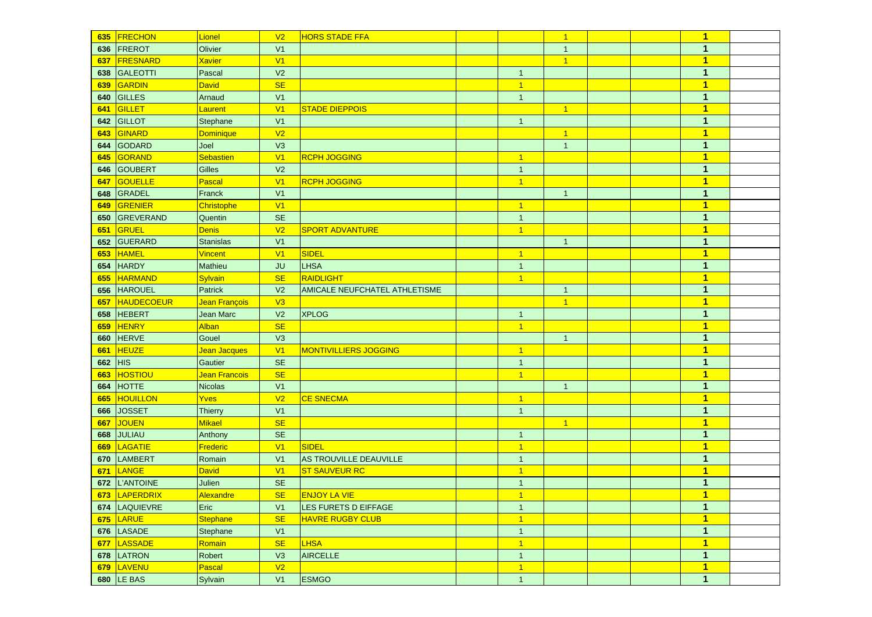|     | 635 FRECHON       | Lionel                    | V <sub>2</sub> | <b>HORS STADE FFA</b>         |                | $\mathbf{1}$   |  | $\mathbf{1}$            |  |
|-----|-------------------|---------------------------|----------------|-------------------------------|----------------|----------------|--|-------------------------|--|
|     | 636 FREROT        | Olivier                   | V <sub>1</sub> |                               |                | $\mathbf{1}$   |  | $\mathbf{1}$            |  |
| 637 | FRESNARD          | <b>Xavier</b>             | V <sub>1</sub> |                               |                | $\overline{1}$ |  | $\mathbf{1}$            |  |
| 638 | GALEOTTI          | Pascal                    | V <sub>2</sub> |                               | $\mathbf{1}$   |                |  | $\mathbf{1}$            |  |
| 639 | GARDIN            | <b>David</b>              | <b>SE</b>      |                               | $\overline{1}$ |                |  | $\mathbf{1}$            |  |
| 640 | GILLES            | Arnaud                    | V <sub>1</sub> |                               | $\mathbf{1}$   |                |  | $\mathbf{1}$            |  |
| 641 | GILLET            | Laurent                   | V <sub>1</sub> | <b>STADE DIEPPOIS</b>         |                | $\overline{1}$ |  | $\overline{\mathbf{1}}$ |  |
| 642 | GILLOT            | Stephane                  | V <sub>1</sub> |                               | $\overline{1}$ |                |  | $\mathbf{1}$            |  |
| 643 | GINARD            | Dominique                 | V <sub>2</sub> |                               |                | $\overline{1}$ |  | $\blacktriangleleft$    |  |
| 644 | GODARD            | Joel                      | V3             |                               |                | $\overline{1}$ |  | $\mathbf{1}$            |  |
| 645 | GORAND            | Sebastien                 | V <sub>1</sub> | <b>RCPH JOGGING</b>           | $\vert$ 1      |                |  | $\overline{1}$          |  |
| 646 | GOUBERT           | Gilles                    | V <sub>2</sub> |                               | $\mathbf{1}$   |                |  | $\mathbf{1}$            |  |
| 647 | <b>GOUELLE</b>    | Pascal                    | V <sub>1</sub> | <b>RCPH JOGGING</b>           | $\vert$ 1      |                |  | $\mathbf{1}$            |  |
| 648 | GRADEL            | Franck                    | V <sub>1</sub> |                               |                | $\overline{1}$ |  | $\mathbf{1}$            |  |
| 649 | GRENIER           | Christophe                | V <sub>1</sub> |                               | $\vert$ 1      |                |  | $\mathbf{1}$            |  |
| 650 | GREVERAND         | Quentin                   | <b>SE</b>      |                               | $\mathbf{1}$   |                |  | $\mathbf{1}$            |  |
| 651 | GRUEL             | <b>Denis</b>              | V <sub>2</sub> | <b>SPORT ADVANTURE</b>        | $\vert$ 1      |                |  | $\mathbf{1}$            |  |
| 652 | GUERARD           | <b>Stanislas</b>          | V <sub>1</sub> |                               |                | $\mathbf{1}$   |  | $\mathbf{1}$            |  |
| 653 | HAMEL             | <b>Vincent</b>            | V <sub>1</sub> | SIDEL                         | $\overline{1}$ |                |  | $\overline{\mathbf{1}}$ |  |
| 654 | <b>HARDY</b>      | Mathieu                   | <b>JU</b>      | <b>LHSA</b>                   | $\mathbf{1}$   |                |  | $\mathbf{1}$            |  |
| 655 | HARMAND           | <b>Sylvain</b>            | <b>SE</b>      | RAIDLIGHT                     | $\vert$ 1      |                |  | $\mathbf{1}$            |  |
| 656 | <b>HAROUEL</b>    | Patrick                   | V <sub>2</sub> | AMICALE NEUFCHATEL ATHLETISME |                | $\mathbf{1}$   |  | $\mathbf{1}$            |  |
| 657 | <b>HAUDECOEUR</b> | Jean François             | V3             |                               |                | $\overline{1}$ |  | $\overline{1}$          |  |
| 658 | <b>HEBERT</b>     | <b>Jean Marc</b>          | V <sub>2</sub> | <b>XPLOG</b>                  | $\mathbf{1}$   |                |  | $\mathbf{1}$            |  |
| 659 | HENRY             | <b>Alban</b>              | <b>SE</b>      |                               | $\vert$ 1      |                |  | 1                       |  |
| 660 | <b>HERVE</b>      | Gouel                     | V3             |                               |                | $\overline{1}$ |  | $\mathbf{1}$            |  |
| 661 | <b>HEUZE</b>      | <mark>Jean Jacques</mark> | V1             | <b>MONTIVILLIERS JOGGING</b>  | $\vert$ 1      |                |  | $\overline{\mathbf{1}}$ |  |
| 662 | HIS               | <b>Gautier</b>            | <b>SE</b>      |                               | $\mathbf{1}$   |                |  | $\mathbf{1}$            |  |
| 663 | HOSTIOU           | Jean Francois             | <b>SE</b>      |                               | $\vert$ 1      |                |  | 1                       |  |
| 664 | <b>HOTTE</b>      | <b>Nicolas</b>            | V <sub>1</sub> |                               |                | $\mathbf{1}$   |  | $\mathbf{1}$            |  |
| 665 | <b>HOUILLON</b>   | Yves                      | V <sub>2</sub> | <b>CE SNECMA</b>              | $\vert$ 1      |                |  | $\overline{\mathbf{1}}$ |  |
| 666 | <b>JOSSET</b>     | <b>Thierry</b>            | V <sub>1</sub> |                               | $\mathbf{1}$   |                |  | $\mathbf{1}$            |  |
| 667 | JOUEN             | Mikael                    | <b>SE</b>      |                               |                | $\mathbf{1}$   |  | 1                       |  |
| 668 | JULIAU            | Anthony                   | <b>SE</b>      |                               | $\mathbf{1}$   |                |  | $\mathbf{1}$            |  |
| 669 | LAGATIE           | Frederic                  | V <sub>1</sub> | <b>SIDEL</b>                  | $\vert$ 1      |                |  | $\overline{\mathbf{1}}$ |  |
| 670 | <b>LAMBERT</b>    | Romain                    | V <sub>1</sub> | AS TROUVILLE DEAUVILLE        | $\overline{1}$ |                |  | $\mathbf{1}$            |  |
| 671 | LANGE             | <b>David</b>              | V <sub>1</sub> | <b>ST SAUVEUR RC</b>          | $\overline{1}$ |                |  | $\overline{\mathbf{1}}$ |  |
| 672 | L'ANTOINE         | Julien                    | <b>SE</b>      |                               | $\mathbf{1}$   |                |  | $\mathbf{1}$            |  |
|     | 673 LAPERDRIX     | Alexandre                 | SE             | <b>ENJOY LA VIE</b>           |                |                |  | $\overline{\mathbf{1}}$ |  |
|     | 674 LAQUIEVRE     | Eric                      | V1             | LES FURETS D EIFFAGE          | $\mathbf{1}$   |                |  | $\mathbf{1}$            |  |
|     | 675 LARUE         | Stephane                  | <b>SE</b>      | <b>HAVRE RUGBY CLUB</b>       | $\overline{1}$ |                |  | $\overline{1}$          |  |
|     | 676 LASADE        | Stephane                  | V1             |                               | $\mathbf{1}$   |                |  | $\mathbf{1}$            |  |
|     | 677 LASSADE       | Romain                    | <b>SE</b>      | <b>LHSA</b>                   | $\overline{1}$ |                |  | $\mathbf{1}$            |  |
|     | 678 LATRON        | Robert                    | V3             | <b>AIRCELLE</b>               | $\mathbf{1}$   |                |  | $\mathbf{1}$            |  |
|     | 679 LAVENU        | Pascal                    | V <sub>2</sub> |                               | $\overline{1}$ |                |  | $\overline{1}$          |  |
|     | 680 LE BAS        | Sylvain                   | V1             | <b>ESMGO</b>                  | $\mathbf{1}$   |                |  | $\mathbf{1}$            |  |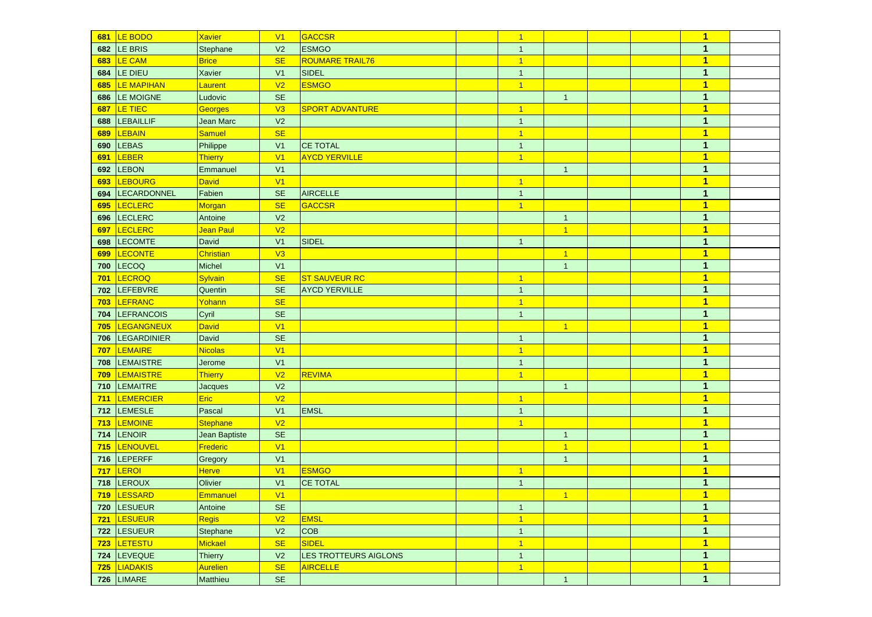|     | 681 LE BODO        | <b>Xavier</b>   | V <sub>1</sub>       | GACCSR                 | $\overline{1}$ |                |  | $\mathbf{1}$            |  |
|-----|--------------------|-----------------|----------------------|------------------------|----------------|----------------|--|-------------------------|--|
| 682 | LE BRIS            | Stephane        | V <sub>2</sub>       | <b>ESMGO</b>           | $\mathbf{1}$   |                |  | 1                       |  |
| 683 | LE CAM             | <b>Brice</b>    | <b>SE</b>            | <b>ROUMARE TRAIL76</b> | $\overline{1}$ |                |  | $\mathbf{1}$            |  |
|     | 684 LE DIEU        | Xavier          | V <sub>1</sub>       | SIDEL                  | $\mathbf{1}$   |                |  | $\mathbf{1}$            |  |
| 685 | <b>LE MAPIHAN</b>  | Laurent         | V <sub>2</sub>       | <b>ESMGO</b>           | $\overline{1}$ |                |  | $\mathbf{1}$            |  |
|     | 686 LE MOIGNE      | Ludovic         | <b>SE</b>            |                        |                | $\overline{1}$ |  | $\mathbf{1}$            |  |
| 687 | LE TIEC            | Georges         | V3                   | <b>SPORT ADVANTURE</b> | $\vert$ 1      |                |  | $\blacktriangleleft$    |  |
| 688 | LEBAILLIF          | Jean Marc       | V <sub>2</sub>       |                        | $\mathbf{1}$   |                |  | $\mathbf{1}$            |  |
| 689 | LEBAIN             | Samuel          | <b>SE</b>            |                        | $\overline{1}$ |                |  | $\overline{1}$          |  |
| 690 | <b>LEBAS</b>       | Philippe        | V <sub>1</sub>       | <b>CE TOTAL</b>        | $\mathbf{1}$   |                |  | $\mathbf{1}$            |  |
| 691 | LEBER              | Thierry         | V <sub>1</sub>       | <b>AYCD YERVILLE</b>   | $\overline{1}$ |                |  | $\mathbf{1}$            |  |
| 692 | <b>LEBON</b>       | Emmanuel        | V <sub>1</sub>       |                        |                | $\mathbf{1}$   |  | $\mathbf{1}$            |  |
| 693 | <b>LEBOURG</b>     | David           | V <sub>1</sub>       |                        | $\overline{1}$ |                |  | $\mathbf{1}$            |  |
| 694 | LECARDONNEL        | Fabien          | <b>SE</b>            | AIRCELLE               | $\mathbf{1}$   |                |  | 1                       |  |
| 695 | LECLERC            | Morgan          | <b>SE</b>            | <b>GACCSR</b>          | $\vert$ 1      |                |  | $\blacktriangleleft$    |  |
| 696 | LECLERC            | Antoine         | V <sub>2</sub>       |                        |                | $\mathbf{1}$   |  | $\mathbf{1}$            |  |
| 697 | LECLERC            | Jean Paul       | V <sub>2</sub>       |                        |                | $\overline{1}$ |  | $\overline{1}$          |  |
| 698 | <b>LECOMTE</b>     | David           | V <sub>1</sub>       | <b>SIDEL</b>           | $\mathbf{1}$   |                |  | $\mathbf{1}$            |  |
| 699 | LECONTE            | Christian       | V3                   |                        |                | $\overline{1}$ |  | $\mathbf{1}$            |  |
| 700 | <b>LECOQ</b>       | Michel          | V <sub>1</sub>       |                        |                | $\mathbf{1}$   |  | $\mathbf{1}$            |  |
| 701 | LECROQ             | Sylvain         | <b>SE</b>            | <b>ST SAUVEUR RC</b>   | $\overline{1}$ |                |  | $\mathbf{1}$            |  |
| 702 | LEFEBVRE           | Quentin         | <b>SE</b>            | <b>AYCD YERVILLE</b>   | $\mathbf{1}$   |                |  | $\mathbf{1}$            |  |
| 703 | LEFRANC            | Yohann          | <b>SE</b>            |                        | $\vert$ 1      |                |  | $\mathbf{1}$            |  |
| 704 | <b>LEFRANCOIS</b>  | Cyril           | <b>SE</b>            |                        | $\mathbf{1}$   |                |  | $\mathbf{1}$            |  |
| 705 | <b>LEGANGNEUX</b>  | David           | V <sub>1</sub>       |                        |                | $\overline{1}$ |  | $\overline{1}$          |  |
| 706 | <b>LEGARDINIER</b> | David           | <b>SE</b>            |                        | $\mathbf{1}$   |                |  | $\mathbf{1}$            |  |
| 707 | LEMAIRE            | Nicolas         | V <sub>1</sub>       |                        | $\vert$ 1      |                |  | $\overline{\mathbf{1}}$ |  |
| 708 | <b>LEMAISTRE</b>   | Jerome          | V <sub>1</sub>       |                        | $\mathbf{1}$   |                |  | $\mathbf{1}$            |  |
| 709 | <b>LEMAISTRE</b>   | Thierry         | V <sub>2</sub>       | <b>REVIMA</b>          | $\overline{1}$ |                |  | $\overline{\mathbf{1}}$ |  |
|     | 710 LEMAITRE       | Jacques         | V <sub>2</sub>       |                        |                | $\mathbf{1}$   |  | $\mathbf{1}$            |  |
| 711 | <b>LEMERCIER</b>   | Eric            | V <sub>2</sub>       |                        | $\vert$ 1      |                |  | 1                       |  |
|     | 712 LEMESLE        | Pascal          | V <sub>1</sub>       | <b>EMSL</b>            | $\mathbf{1}$   |                |  | $\mathbf{1}$            |  |
| 713 | <b>LEMOINE</b>     | <b>Stephane</b> | V <sub>2</sub>       |                        | $\vert$ 1      |                |  | $\overline{\mathbf{1}}$ |  |
| 714 | <b>LENOIR</b>      | Jean Baptiste   | <b>SE</b>            |                        |                | $\mathbf{1}$   |  | $\mathbf{1}$            |  |
| 715 | LENOUVEL           | Frederic        | V <sub>1</sub>       |                        |                | $\overline{1}$ |  | $\overline{1}$          |  |
| 716 | LEPERFF            | Gregory         | V <sub>1</sub>       |                        |                | $\mathbf{1}$   |  | $\mathbf{1}$            |  |
| 717 | LEROI              | <b>Herve</b>    | V <sub>1</sub>       | <b>ESMGO</b>           | $\vert$ 1      |                |  | $\overline{1}$          |  |
|     | 718 LEROUX         | Olivier         | V <sub>1</sub>       | <b>CE TOTAL</b>        | $\mathbf{1}$   |                |  | $\mathbf{1}$            |  |
|     | 719 LESSARD        | Emmanuel        | V1                   |                        |                | 1 <sup>1</sup> |  | $\overline{1}$          |  |
|     | 720 LESUEUR        | Antoine         | SE                   |                        | $\mathbf{1}$   |                |  | $\mathbf{1}$            |  |
|     | 721 LESUEUR        | Regis           | V <sub>2</sub>       | <b>EMSL</b>            | $\overline{1}$ |                |  | $\mathbf{1}$            |  |
|     | 722 LESUEUR        | Stephane        | V <sub>2</sub>       | <b>COB</b>             | $\mathbf{1}$   |                |  | $\mathbf{1}$            |  |
|     | 723 LETESTU        | Mickael         | <b>SE</b>            | <b>SIDEL</b>           | $\overline{1}$ |                |  | $\mathbf{1}$            |  |
|     | 724 LEVEQUE        | Thierry         | V <sub>2</sub>       | LES TROTTEURS AIGLONS  | $\mathbf{1}$   |                |  | $\mathbf{1}$            |  |
|     | 725 LIADAKIS       | <b>Aurelien</b> | <b>SE</b>            | <b>AIRCELLE</b>        | $\vert$ 1      |                |  | $\overline{\mathbf{1}}$ |  |
|     | <b>726 LIMARE</b>  | Matthieu        | $\mathsf{SE}\xspace$ |                        |                | $\mathbf{1}$   |  | $\mathbf{1}$            |  |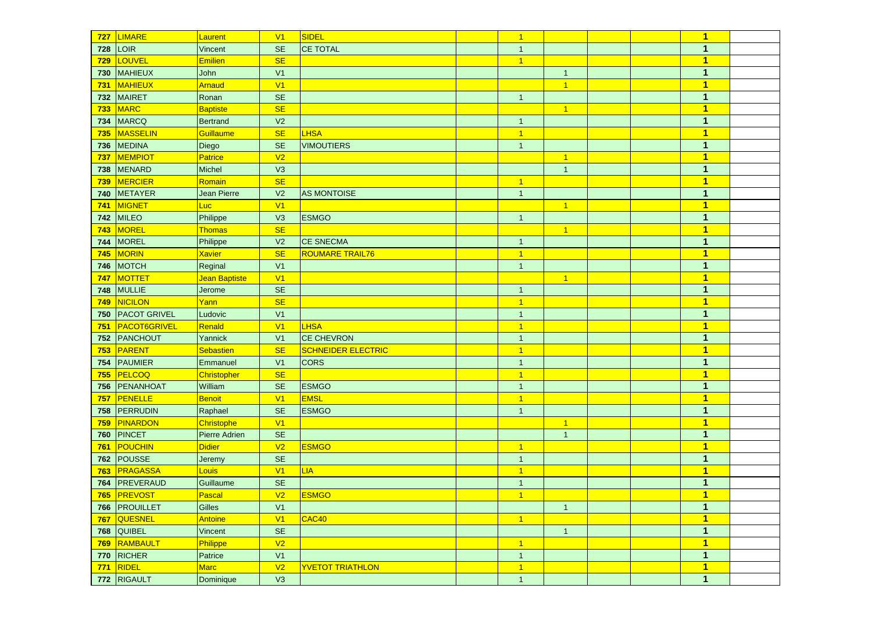| 727 | LIMARE              | Laurent              | V <sub>1</sub>       | SIDEL                     | $\overline{1}$  |                |  | $\overline{\mathbf{1}}$ |  |
|-----|---------------------|----------------------|----------------------|---------------------------|-----------------|----------------|--|-------------------------|--|
| 728 | LOIR                | Vincent              | <b>SE</b>            | <b>CE TOTAL</b>           | $\mathbf{1}$    |                |  | $\mathbf{1}$            |  |
| 729 | LOUVEL              | <b>Emilien</b>       | <b>SE</b>            |                           | $\overline{1}$  |                |  | $\overline{\mathbf{1}}$ |  |
| 730 | MAHIEUX             | John                 | V <sub>1</sub>       |                           |                 | $\mathbf{1}$   |  | $\mathbf{1}$            |  |
| 731 | MAHIEUX             | <b>Arnaud</b>        | V <sub>1</sub>       |                           |                 | $\overline{1}$ |  | $\mathbf{1}$            |  |
| 732 | MAIRET              | Ronan                | <b>SE</b>            |                           | $\overline{1}$  |                |  | $\mathbf{1}$            |  |
| 733 | MARC                | Baptiste             | <b>SE</b>            |                           |                 | $\overline{1}$ |  | $\overline{\mathbf{1}}$ |  |
| 734 | MARCQ               | <b>Bertrand</b>      | V <sub>2</sub>       |                           | $\mathbf{1}$    |                |  | $\mathbf{1}$            |  |
| 735 | MASSELIN            | Guillaume            | <b>SE</b>            | <b>LHSA</b>               | $\overline{1}$  |                |  | $\overline{\mathbf{1}}$ |  |
| 736 | <b>MEDINA</b>       | Diego                | <b>SE</b>            | <b>VIMOUTIERS</b>         | $\mathbf{1}$    |                |  | $\mathbf{1}$            |  |
| 737 | <b>MEMPIOT</b>      | Patrice              | V <sub>2</sub>       |                           |                 | $\overline{1}$ |  | $\overline{\mathbf{1}}$ |  |
| 738 | MENARD              | Michel               | V3                   |                           |                 | $\overline{1}$ |  | $\mathbf{1}$            |  |
| 739 | MERCIER             | Romain               | <b>SE</b>            |                           | $\vert$ 1       |                |  | $\overline{\mathbf{1}}$ |  |
| 740 | METAYER             | <b>Jean Pierre</b>   | V <sub>2</sub>       | <b>AS MONTOISE</b>        | $\mathbf{1}$    |                |  | $\mathbf{1}$            |  |
| 741 | MIGNET              | Luc <sup>1</sup>     | V <sub>1</sub>       |                           |                 | $\overline{1}$ |  | $\overline{\mathbf{1}}$ |  |
| 742 | MILEO               | Philippe             | V3                   | <b>ESMGO</b>              | $\mathbf{1}$    |                |  | $\mathbf{1}$            |  |
| 743 | MOREL               | <b>Thomas</b>        | <b>SE</b>            |                           |                 | $\mathbf{1}$   |  | $\overline{\mathbf{1}}$ |  |
| 744 | MOREL               | Philippe             | V <sub>2</sub>       | <b>CE SNECMA</b>          | $\mathbf{1}$    |                |  | $\mathbf{1}$            |  |
| 745 | MORIN               | <b>Xavier</b>        | <b>SE</b>            | <b>ROUMARE TRAIL76</b>    | $\overline{1}$  |                |  | $\overline{1}$          |  |
| 746 | MOTCH               | Reginal              | V <sub>1</sub>       |                           | $\overline{1}$  |                |  | $\mathbf{1}$            |  |
| 747 | MOTTET              | Jean Baptiste        | V <sub>1</sub>       |                           |                 | $\overline{1}$ |  | $\mathbf{1}$            |  |
| 748 | MULLIE              | Jerome               | <b>SE</b>            |                           | $\mathbf{1}$    |                |  | $\mathbf{1}$            |  |
| 749 | NICILON             | <u>Yanni</u>         | <b>SE</b>            |                           | $\overline{1}$  |                |  | $\overline{\mathbf{1}}$ |  |
| 750 | <b>PACOT GRIVEL</b> | Ludovic              | V <sub>1</sub>       |                           | $\mathbf{1}$    |                |  | $\mathbf{1}$            |  |
| 751 | <b>PACOT6GRIVEL</b> | Renald               | V <sub>1</sub>       | <b>LHSA</b>               | $\vert$ 1       |                |  | $\overline{\mathbf{1}}$ |  |
|     | 752 PANCHOUT        | Yannick              | V <sub>1</sub>       | <b>CE CHEVRON</b>         | $\overline{1}$  |                |  | $\mathbf{1}$            |  |
| 753 | PARENT              | <b>Sebastien</b>     | <b>SE</b>            | <b>SCHNEIDER ELECTRIC</b> | $\overline{1}$  |                |  | $\overline{\mathbf{1}}$ |  |
| 754 | PAUMIER             | Emmanuel             | V <sub>1</sub>       | <b>CORS</b>               | $\mathbf{1}$    |                |  | $\mathbf{1}$            |  |
| 755 | PELCOQ              | Christopher          | <b>SE</b>            |                           | $\overline{1}$  |                |  | $\mathbf{1}$            |  |
| 756 | PENANHOAT           | William              | <b>SE</b>            | <b>ESMGO</b>              | $\mathbf{1}$    |                |  | $\mathbf{1}$            |  |
| 757 | PENELLE             | Benoit               | V <sub>1</sub>       | <b>EMSL</b>               | $\vert$ 1       |                |  | $\mathbf{1}$            |  |
|     | 758 PERRUDIN        | Raphael              | <b>SE</b>            | <b>ESMGO</b>              | $\mathbf{1}$    |                |  | 1                       |  |
| 759 | PINARDON            | Christophe           | V1                   |                           |                 | $\mathbf{1}$   |  | $\mathbf{1}$            |  |
| 760 | PINCET              | <b>Pierre Adrien</b> | <b>SE</b>            |                           |                 | $\mathbf{1}$   |  | $\mathbf{1}$            |  |
| 761 | POUCHIN             | <b>Didier</b>        | V <sub>2</sub>       | <b>ESMGO</b>              | $\vert$ 1       |                |  | $\overline{\mathbf{1}}$ |  |
| 762 | POUSSE              | Jeremy               | <b>SE</b>            |                           | $\mathbf{1}$    |                |  | $\mathbf{1}$            |  |
| 763 | PRAGASSA            | Louis                | V <sub>1</sub>       | <b>LIA</b>                | $\overline{1}$  |                |  | $\overline{\mathbf{1}}$ |  |
|     | 764 PREVERAUD       | Guillaume            | <b>SE</b>            |                           | $\mathbf{1}$    |                |  | $\mathbf{1}$            |  |
|     | 765 <b>PREVOST</b>  | Pascal               | V <sub>2</sub>       | ESMGO                     | $\overline{1}$  |                |  | $\overline{1}$          |  |
|     | 766 PROUILLET       | Gilles               | V <sub>1</sub>       |                           |                 | $\mathbf{1}$   |  | $\mathbf{1}$            |  |
|     | 767 QUESNEL         | Antoine              | V1                   | CAC40                     | $\vert 1 \vert$ |                |  | $\mathbf{1}$            |  |
|     | <b>768 QUIBEL</b>   | Vincent              | $\mathsf{SE}\xspace$ |                           |                 | $\mathbf{1}$   |  | $\mathbf{1}$            |  |
|     | 769 RAMBAULT        | Philippe             | V <sub>2</sub>       |                           | $\vert$ 1       |                |  | $\overline{\mathbf{1}}$ |  |
|     | 770 RICHER          | Patrice              | V1                   |                           | $\mathbf{1}$    |                |  | $\mathbf{1}$            |  |
| 771 | RIDEL               | Marc                 | V <sub>2</sub>       | <b>YVETOT TRIATHLON</b>   | $\vert$ 1       |                |  | $\overline{\mathbf{1}}$ |  |
|     | 772 RIGAULT         | Dominique            | V3                   |                           | $\mathbf{1}$    |                |  | $\mathbf{1}$            |  |